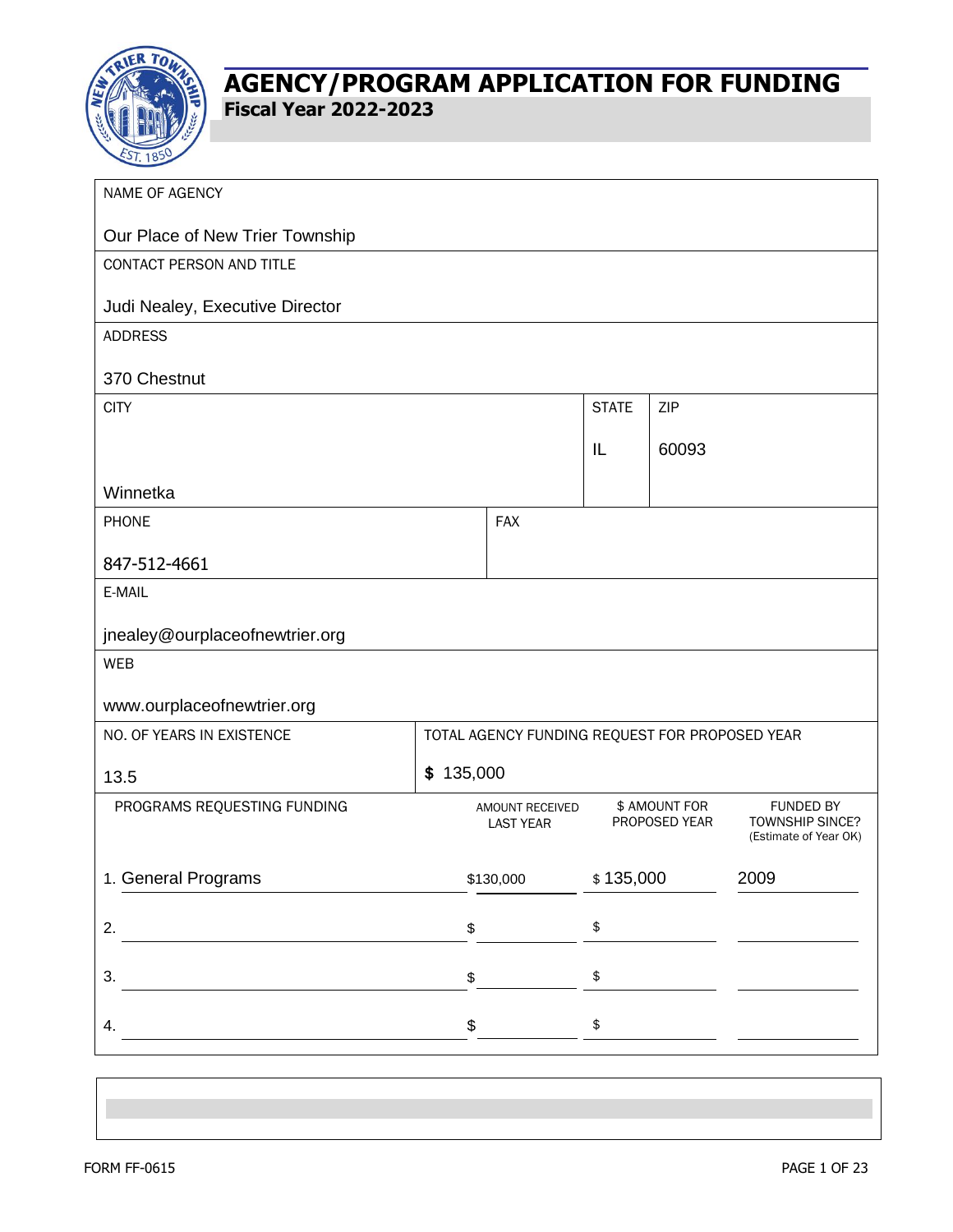

| NAME OF AGENCY                  |                                                |                                     |                                |       |                                                              |  |
|---------------------------------|------------------------------------------------|-------------------------------------|--------------------------------|-------|--------------------------------------------------------------|--|
| Our Place of New Trier Township |                                                |                                     |                                |       |                                                              |  |
| CONTACT PERSON AND TITLE        |                                                |                                     |                                |       |                                                              |  |
| Judi Nealey, Executive Director |                                                |                                     |                                |       |                                                              |  |
| <b>ADDRESS</b>                  |                                                |                                     |                                |       |                                                              |  |
| 370 Chestnut                    |                                                |                                     |                                |       |                                                              |  |
| <b>CITY</b>                     |                                                | <b>STATE</b>                        | ZIP                            |       |                                                              |  |
|                                 |                                                |                                     | IL                             | 60093 |                                                              |  |
| Winnetka                        |                                                |                                     |                                |       |                                                              |  |
| <b>PHONE</b>                    |                                                | <b>FAX</b>                          |                                |       |                                                              |  |
| 847-512-4661                    |                                                |                                     |                                |       |                                                              |  |
| E-MAIL                          |                                                |                                     |                                |       |                                                              |  |
| jnealey@ourplaceofnewtrier.org  |                                                |                                     |                                |       |                                                              |  |
| <b>WEB</b>                      |                                                |                                     |                                |       |                                                              |  |
| www.ourplaceofnewtrier.org      |                                                |                                     |                                |       |                                                              |  |
| NO. OF YEARS IN EXISTENCE       | TOTAL AGENCY FUNDING REQUEST FOR PROPOSED YEAR |                                     |                                |       |                                                              |  |
| \$135,000<br>13.5               |                                                |                                     |                                |       |                                                              |  |
| PROGRAMS REQUESTING FUNDING     |                                                | AMOUNT RECEIVED<br><b>LAST YEAR</b> | \$ AMOUNT FOR<br>PROPOSED YEAR |       | <b>FUNDED BY</b><br>TOWNSHIP SINCE?<br>(Estimate of Year OK) |  |
| 1. General Programs             |                                                | \$130,000                           | \$135,000                      |       | 2009                                                         |  |
| 2.                              | \$                                             |                                     | \$                             |       |                                                              |  |
|                                 |                                                |                                     |                                |       |                                                              |  |
| 3.                              | \$                                             |                                     | \$                             |       |                                                              |  |
| 4.                              | \$                                             |                                     | \$                             |       |                                                              |  |
|                                 |                                                |                                     |                                |       |                                                              |  |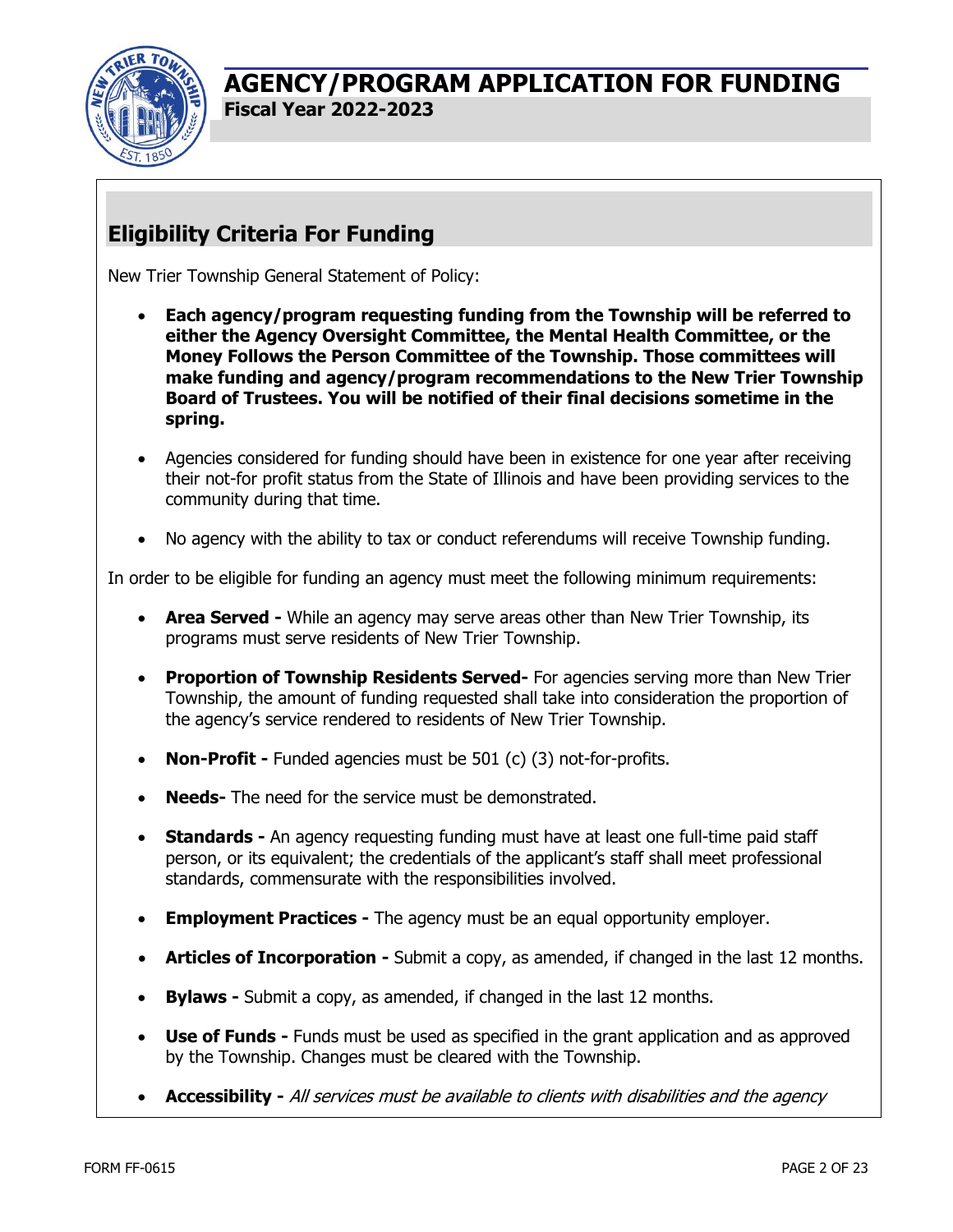

# **Eligibility Criteria For Funding**

New Trier Township General Statement of Policy:

- **Each agency/program requesting funding from the Township will be referred to either the Agency Oversight Committee, the Mental Health Committee, or the Money Follows the Person Committee of the Township. Those committees will make funding and agency/program recommendations to the New Trier Township Board of Trustees. You will be notified of their final decisions sometime in the spring.**
- Agencies considered for funding should have been in existence for one year after receiving their not-for profit status from the State of Illinois and have been providing services to the community during that time.
- No agency with the ability to tax or conduct referendums will receive Township funding.

In order to be eligible for funding an agency must meet the following minimum requirements:

- **Area Served -** While an agency may serve areas other than New Trier Township, its programs must serve residents of New Trier Township.
- **Proportion of Township Residents Served-** For agencies serving more than New Trier Township, the amount of funding requested shall take into consideration the proportion of the agency's service rendered to residents of New Trier Township.
- **Non-Profit -** Funded agencies must be 501 (c) (3) not-for-profits.
- **Needs-** The need for the service must be demonstrated.
- **Standards -** An agency requesting funding must have at least one full-time paid staff person, or its equivalent; the credentials of the applicant's staff shall meet professional standards, commensurate with the responsibilities involved.
- **Employment Practices -** The agency must be an equal opportunity employer.
- **Articles of Incorporation -** Submit a copy, as amended, if changed in the last 12 months.
- **Bylaws -** Submit a copy, as amended, if changed in the last 12 months.
- **Use of Funds -** Funds must be used as specified in the grant application and as approved by the Township. Changes must be cleared with the Township.
- **Accessibility -** All services must be available to clients with disabilities and the agency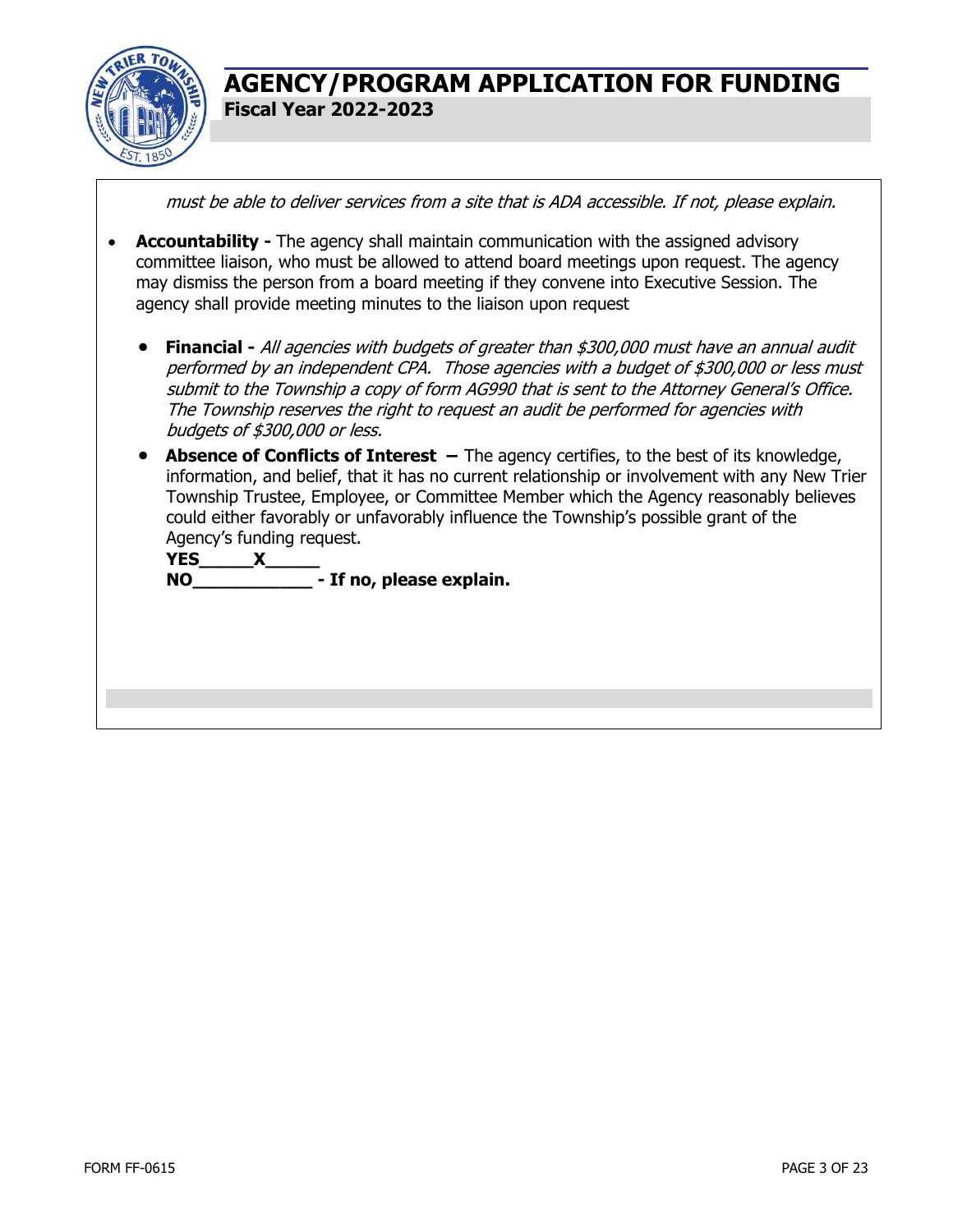

must be able to deliver services from a site that is ADA accessible. If not, please explain.

- **Accountability -** The agency shall maintain communication with the assigned advisory committee liaison, who must be allowed to attend board meetings upon request. The agency may dismiss the person from a board meeting if they convene into Executive Session. The agency shall provide meeting minutes to the liaison upon request
	- **Financial -** All agencies with budgets of greater than \$300,000 must have an annual audit performed by an independent CPA. Those agencies with a budget of \$300,000 or less must submit to the Township a copy of form AG990 that is sent to the Attorney General's Office. The Township reserves the right to request an audit be performed for agencies with budgets of \$300,000 or less.
	- **Absence of Conflicts of Interest** The agency certifies, to the best of its knowledge, information, and belief, that it has no current relationship or involvement with any New Trier Township Trustee, Employee, or Committee Member which the Agency reasonably believes could either favorably or unfavorably influence the Township's possible grant of the Agency's funding request.

**YES\_\_\_\_\_X\_\_\_\_\_ NO\_\_\_\_\_\_\_\_\_\_\_ - If no, please explain.**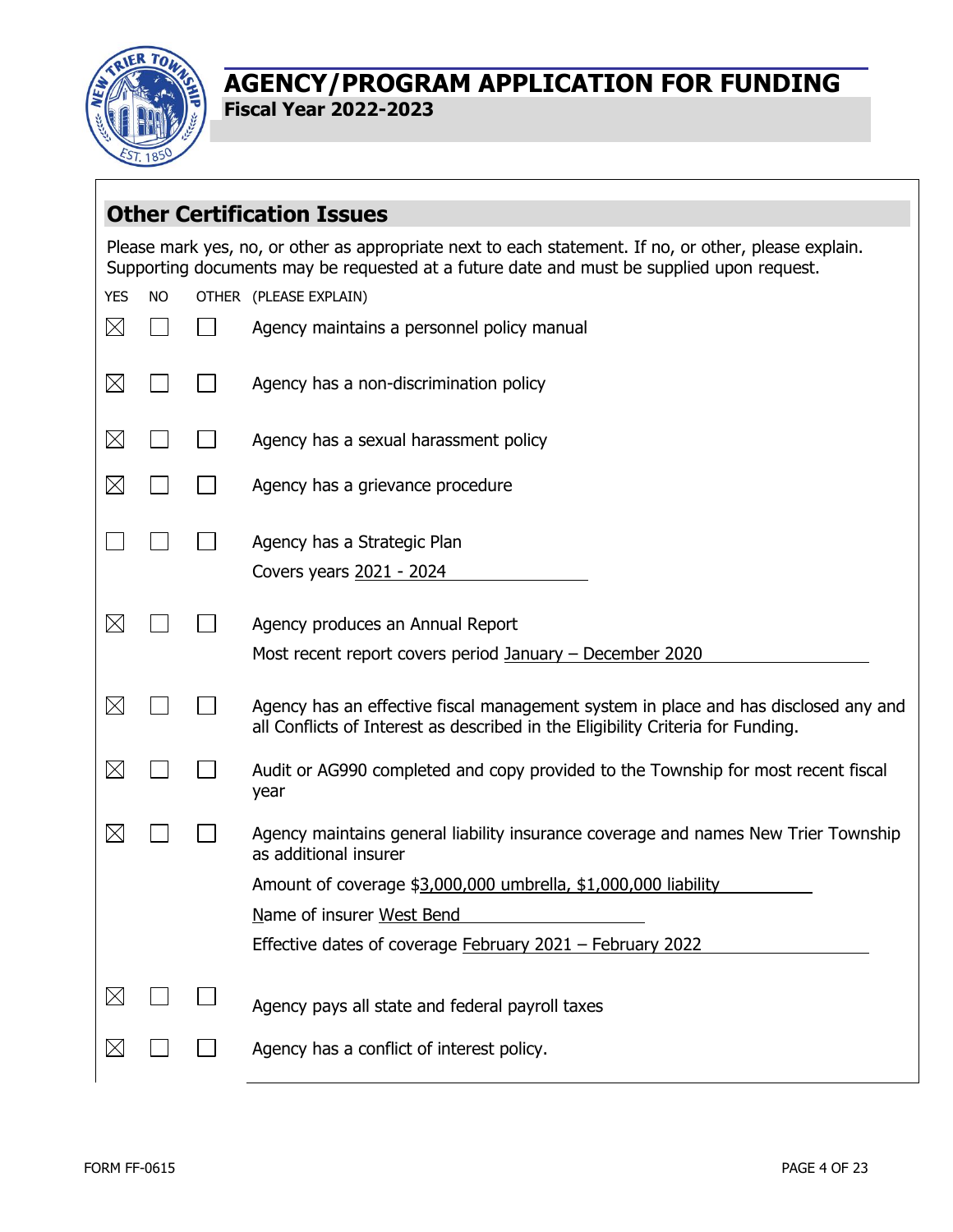

 $\Gamma$ 

## **AGENCY/PROGRAM APPLICATION FOR FUNDING Fiscal Year 2022-2023**

|             |           | <b>Other Certification Issues</b>                                                                                                                                                                  |
|-------------|-----------|----------------------------------------------------------------------------------------------------------------------------------------------------------------------------------------------------|
|             |           | Please mark yes, no, or other as appropriate next to each statement. If no, or other, please explain.<br>Supporting documents may be requested at a future date and must be supplied upon request. |
| <b>YES</b>  | <b>NO</b> | OTHER (PLEASE EXPLAIN)                                                                                                                                                                             |
| $\boxtimes$ |           | Agency maintains a personnel policy manual                                                                                                                                                         |
| $\boxtimes$ |           | Agency has a non-discrimination policy                                                                                                                                                             |
| $\boxtimes$ |           | Agency has a sexual harassment policy                                                                                                                                                              |
| $\boxtimes$ |           | Agency has a grievance procedure                                                                                                                                                                   |
|             |           | Agency has a Strategic Plan                                                                                                                                                                        |
|             |           | Covers years 2021 - 2024                                                                                                                                                                           |
| $\boxtimes$ |           | Agency produces an Annual Report                                                                                                                                                                   |
|             |           | Most recent report covers period January - December 2020                                                                                                                                           |
| $\boxtimes$ |           | Agency has an effective fiscal management system in place and has disclosed any and<br>all Conflicts of Interest as described in the Eligibility Criteria for Funding.                             |
| $\boxtimes$ |           | Audit or AG990 completed and copy provided to the Township for most recent fiscal<br>year                                                                                                          |
| $\boxtimes$ |           | Agency maintains general liability insurance coverage and names New Trier Township<br>as additional insurer                                                                                        |
|             |           | Amount of coverage \$3,000,000 umbrella, \$1,000,000 liability                                                                                                                                     |
|             |           | Name of insurer West Bend                                                                                                                                                                          |
|             |           | Effective dates of coverage February 2021 - February 2022                                                                                                                                          |
| $\boxtimes$ |           | Agency pays all state and federal payroll taxes                                                                                                                                                    |
| $\boxtimes$ |           | Agency has a conflict of interest policy.                                                                                                                                                          |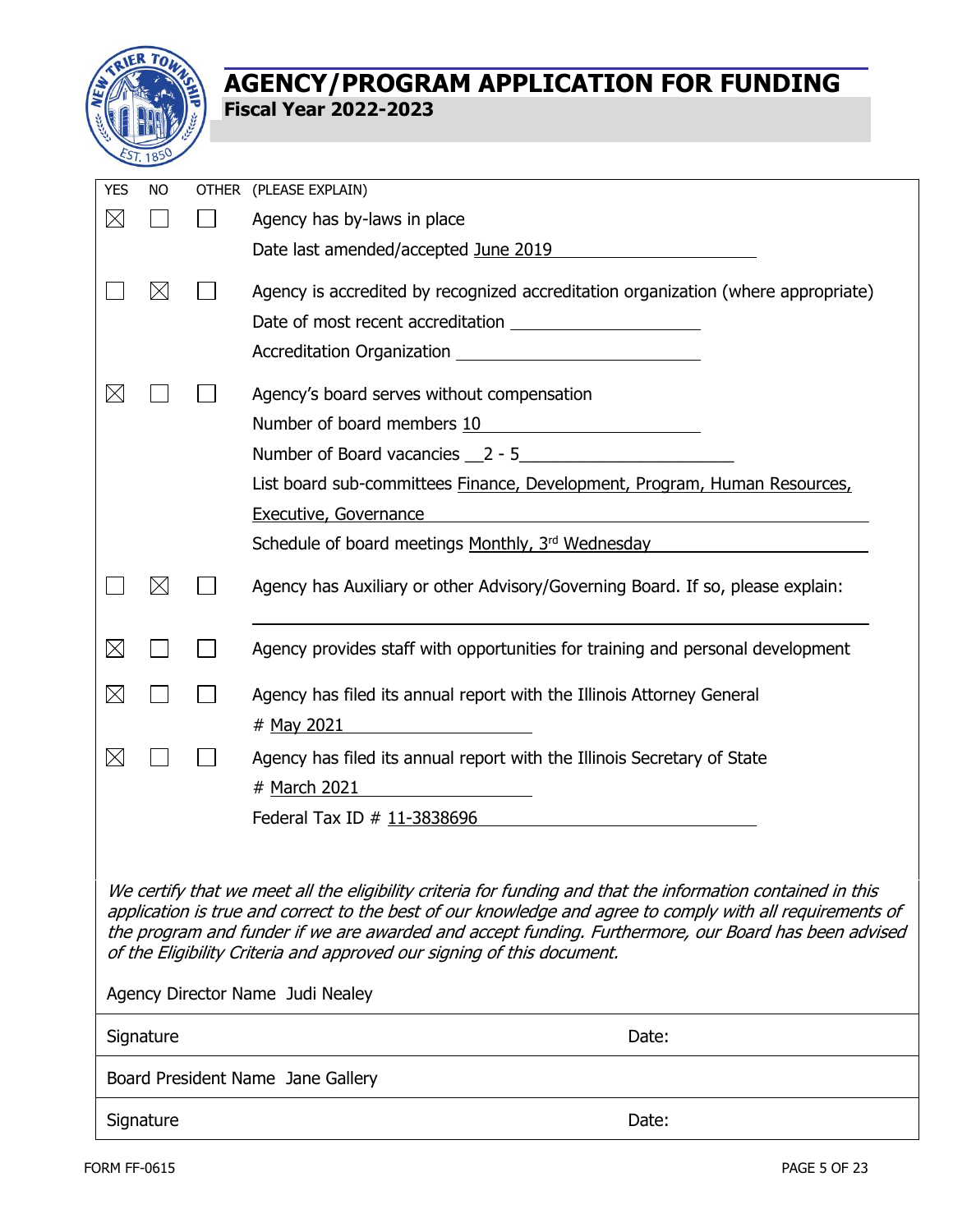

| <b>YES</b>                                                                                                  | <b>NO</b>   |  | OTHER (PLEASE EXPLAIN)                                                                                                                                                                                                                                                                                                      |  |  |  |
|-------------------------------------------------------------------------------------------------------------|-------------|--|-----------------------------------------------------------------------------------------------------------------------------------------------------------------------------------------------------------------------------------------------------------------------------------------------------------------------------|--|--|--|
| $\boxtimes$                                                                                                 |             |  | Agency has by-laws in place                                                                                                                                                                                                                                                                                                 |  |  |  |
|                                                                                                             |             |  | Date last amended/accepted June 2019                                                                                                                                                                                                                                                                                        |  |  |  |
|                                                                                                             | $\boxtimes$ |  | Agency is accredited by recognized accreditation organization (where appropriate)                                                                                                                                                                                                                                           |  |  |  |
|                                                                                                             |             |  |                                                                                                                                                                                                                                                                                                                             |  |  |  |
|                                                                                                             |             |  |                                                                                                                                                                                                                                                                                                                             |  |  |  |
| $\times$                                                                                                    |             |  | Agency's board serves without compensation                                                                                                                                                                                                                                                                                  |  |  |  |
|                                                                                                             |             |  | Number of board members 10<br><u> 1989 - Andrea State Barbara, pre</u>                                                                                                                                                                                                                                                      |  |  |  |
|                                                                                                             |             |  |                                                                                                                                                                                                                                                                                                                             |  |  |  |
|                                                                                                             |             |  | List board sub-committees Finance, Development, Program, Human Resources,                                                                                                                                                                                                                                                   |  |  |  |
|                                                                                                             |             |  | <b>Executive, Governance</b>                                                                                                                                                                                                                                                                                                |  |  |  |
|                                                                                                             |             |  | Schedule of board meetings Monthly, 3rd Wednesday                                                                                                                                                                                                                                                                           |  |  |  |
|                                                                                                             | $\boxtimes$ |  | Agency has Auxiliary or other Advisory/Governing Board. If so, please explain:                                                                                                                                                                                                                                              |  |  |  |
| $\boxtimes$                                                                                                 |             |  | Agency provides staff with opportunities for training and personal development                                                                                                                                                                                                                                              |  |  |  |
| $\boxtimes$                                                                                                 |             |  | Agency has filed its annual report with the Illinois Attorney General<br># May 2021<br><u>and the state of the state of the state of the state of the state of the state of the state of the state of the state of the state of the state of the state of the state of the state of the state of the state of the state</u> |  |  |  |
| $\boxtimes$                                                                                                 |             |  | Agency has filed its annual report with the Illinois Secretary of State<br># March 2021                                                                                                                                                                                                                                     |  |  |  |
|                                                                                                             |             |  | Federal Tax ID # 11-3838696                                                                                                                                                                                                                                                                                                 |  |  |  |
| We certify that we meet all the eligibility criteria for funding and that the information contained in this |             |  |                                                                                                                                                                                                                                                                                                                             |  |  |  |
|                                                                                                             |             |  | application is true and correct to the best of our knowledge and agree to comply with all requirements of<br>the program and funder if we are awarded and accept funding. Furthermore, our Board has been advised<br>of the Eligibility Criteria and approved our signing of this document.                                 |  |  |  |
|                                                                                                             |             |  | Agency Director Name Judi Nealey                                                                                                                                                                                                                                                                                            |  |  |  |
|                                                                                                             | Signature   |  | Date:                                                                                                                                                                                                                                                                                                                       |  |  |  |
| Board President Name Jane Gallery                                                                           |             |  |                                                                                                                                                                                                                                                                                                                             |  |  |  |
|                                                                                                             | Signature   |  | Date:                                                                                                                                                                                                                                                                                                                       |  |  |  |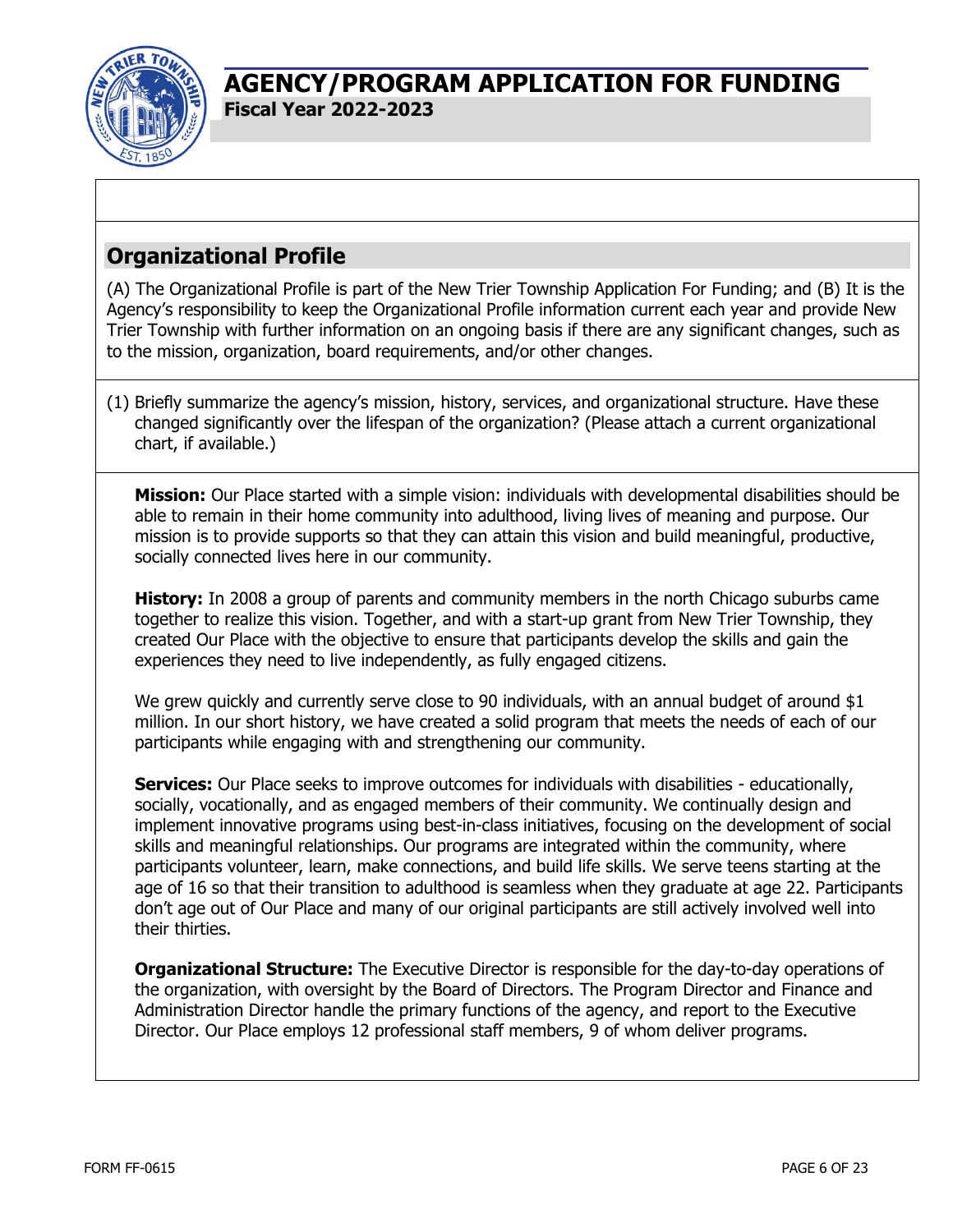

# **Organizational Profile**

(A) The Organizational Profile is part of the New Trier Township Application For Funding; and (B) It is the Agency's responsibility to keep the Organizational Profile information current each year and provide New Trier Township with further information on an ongoing basis if there are any significant changes, such as to the mission, organization, board requirements, and/or other changes.

(1) Briefly summarize the agency's mission, history, services, and organizational structure. Have these changed significantly over the lifespan of the organization? (Please attach a current organizational chart, if available.)

**Mission:** Our Place started with a simple vision: individuals with developmental disabilities should be able to remain in their home community into adulthood, living lives of meaning and purpose. Our mission is to provide supports so that they can attain this vision and build meaningful, productive, socially connected lives here in our community.

**History:** In 2008 a group of parents and community members in the north Chicago suburbs came together to realize this vision. Together, and with a start-up grant from New Trier Township, they created Our Place with the objective to ensure that participants develop the skills and gain the experiences they need to live independently, as fully engaged citizens.

We grew quickly and currently serve close to 90 individuals, with an annual budget of around \$1 million. In our short history, we have created a solid program that meets the needs of each of our participants while engaging with and strengthening our community.

**Services:** Our Place seeks to improve outcomes for individuals with disabilities - educationally, socially, vocationally, and as engaged members of their community. We continually design and implement innovative programs using best-in-class initiatives, focusing on the development of social skills and meaningful relationships. Our programs are integrated within the community, where participants volunteer, learn, make connections, and build life skills. We serve teens starting at the age of 16 so that their transition to adulthood is seamless when they graduate at age 22. Participants don't age out of Our Place and many of our original participants are still actively involved well into their thirties.

**Organizational Structure:** The Executive Director is responsible for the day-to-day operations of the organization, with oversight by the Board of Directors. The Program Director and Finance and Administration Director handle the primary functions of the agency, and report to the Executive Director. Our Place employs 12 professional staff members, 9 of whom deliver programs.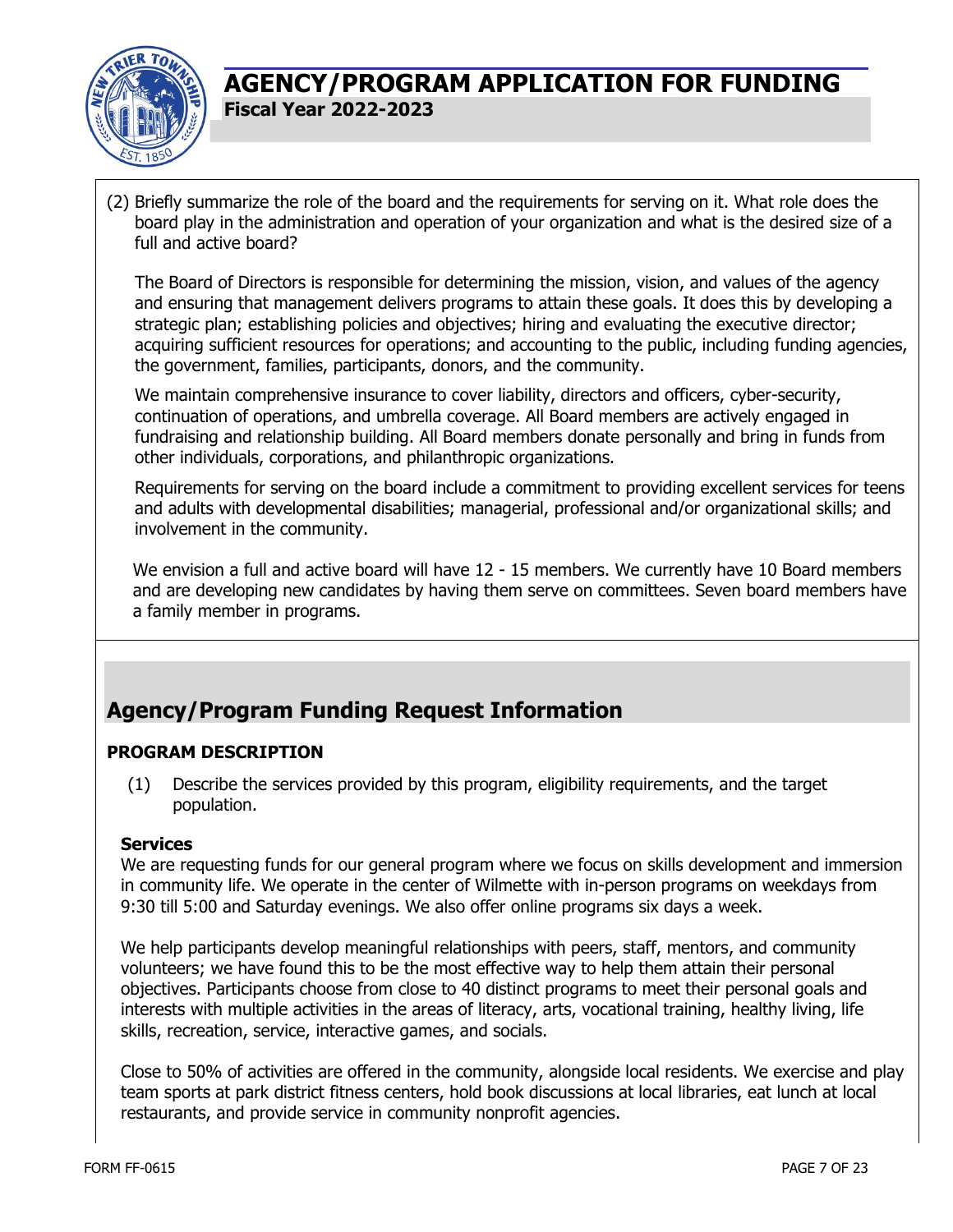

(2) Briefly summarize the role of the board and the requirements for serving on it. What role does the board play in the administration and operation of your organization and what is the desired size of a full and active board?

The Board of Directors is responsible for determining the mission, vision, and values of the agency and ensuring that management delivers programs to attain these goals. It does this by developing a strategic plan; establishing policies and objectives; hiring and evaluating the executive director; acquiring sufficient resources for operations; and accounting to the public, including funding agencies, the government, families, participants, donors, and the community.

We maintain comprehensive insurance to cover liability, directors and officers, cyber-security, continuation of operations, and umbrella coverage. All Board members are actively engaged in fundraising and relationship building. All Board members donate personally and bring in funds from other individuals, corporations, and philanthropic organizations.

Requirements for serving on the board include a commitment to providing excellent services for teens and adults with developmental disabilities; managerial, professional and/or organizational skills; and involvement in the community.

We envision a full and active board will have 12 - 15 members. We currently have 10 Board members and are developing new candidates by having them serve on committees. Seven board members have a family member in programs.

# **Agency/Program Funding Request Information**

#### **PROGRAM DESCRIPTION**

(1) Describe the services provided by this program, eligibility requirements, and the target population.

#### **Services**

We are requesting funds for our general program where we focus on skills development and immersion in community life. We operate in the center of Wilmette with in-person programs on weekdays from 9:30 till 5:00 and Saturday evenings. We also offer online programs six days a week.

We help participants develop meaningful relationships with peers, staff, mentors, and community volunteers; we have found this to be the most effective way to help them attain their personal objectives. Participants choose from close to 40 distinct programs to meet their personal goals and interests with multiple activities in the areas of literacy, arts, vocational training, healthy living, life skills, recreation, service, interactive games, and socials.

Close to 50% of activities are offered in the community, alongside local residents. We exercise and play team sports at park district fitness centers, hold book discussions at local libraries, eat lunch at local restaurants, and provide service in community nonprofit agencies.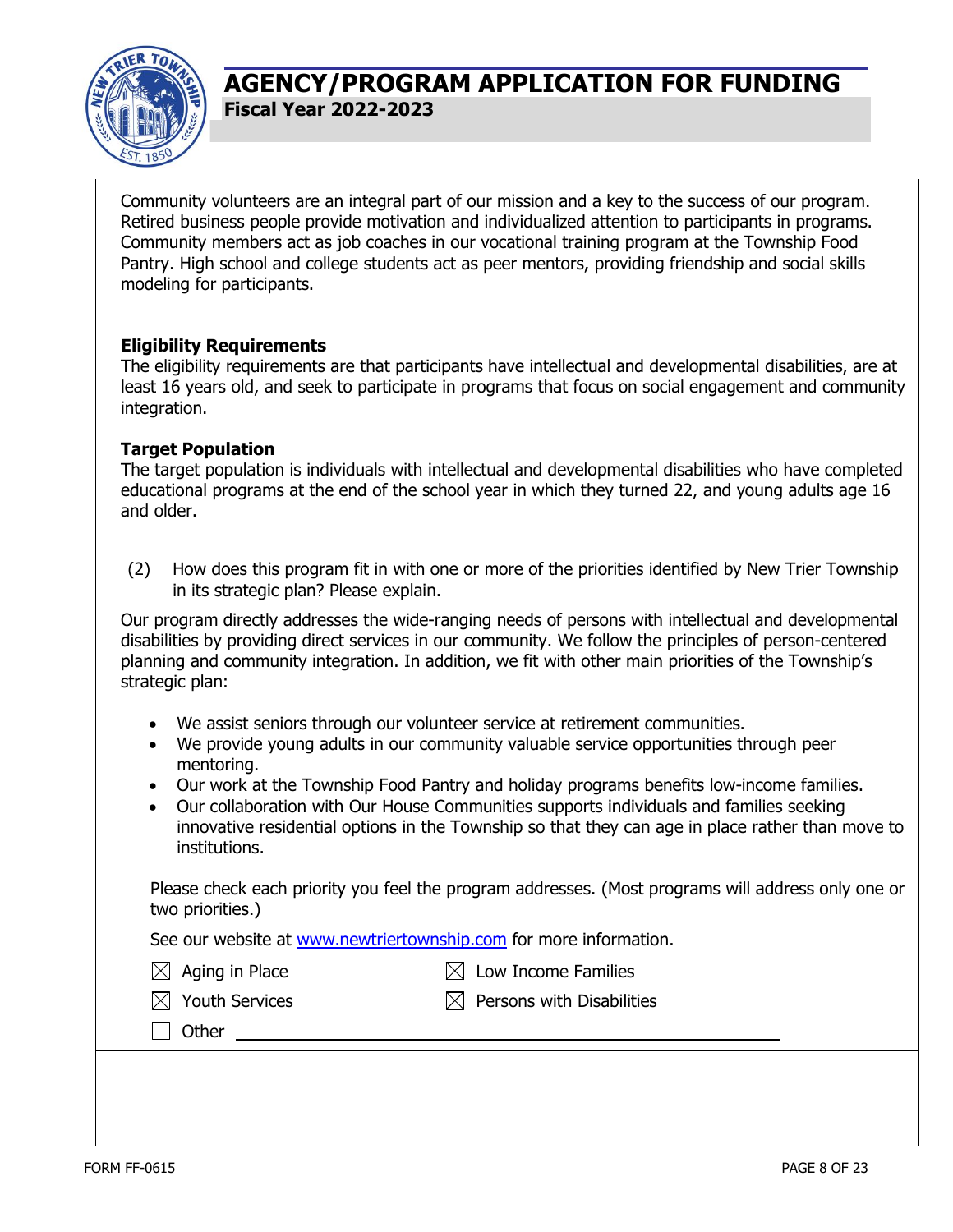

Community volunteers are an integral part of our mission and a key to the success of our program. Retired business people provide motivation and individualized attention to participants in programs. Community members act as job coaches in our vocational training program at the Township Food Pantry. High school and college students act as peer mentors, providing friendship and social skills modeling for participants.

#### **Eligibility Requirements**

The eligibility requirements are that participants have intellectual and developmental disabilities, are at least 16 years old, and seek to participate in programs that focus on social engagement and community integration.

#### **Target Population**

The target population is individuals with intellectual and developmental disabilities who have completed educational programs at the end of the school year in which they turned 22, and young adults age 16 and older.

(2) How does this program fit in with one or more of the priorities identified by New Trier Township in its strategic plan? Please explain.

Our program directly addresses the wide-ranging needs of persons with intellectual and developmental disabilities by providing direct services in our community. We follow the principles of person-centered planning and community integration. In addition, we fit with other main priorities of the Township's strategic plan:

- We assist seniors through our volunteer service at retirement communities.
- We provide young adults in our community valuable service opportunities through peer mentoring.
- Our work at the Township Food Pantry and holiday programs benefits low-income families.
- Our collaboration with Our House Communities supports individuals and families seeking innovative residential options in the Township so that they can age in place rather than move to institutions.

Please check each priority you feel the program addresses. (Most programs will address only one or two priorities.)

See our website at [www.newtriertownship.com](http://www.newtriertownship.com/) for more information.

 $\boxtimes$  Aging in Place  $\boxtimes$  Low Income Families

 $\boxtimes$  Youth Services  $\boxtimes$  Persons with Disabilities

□ Other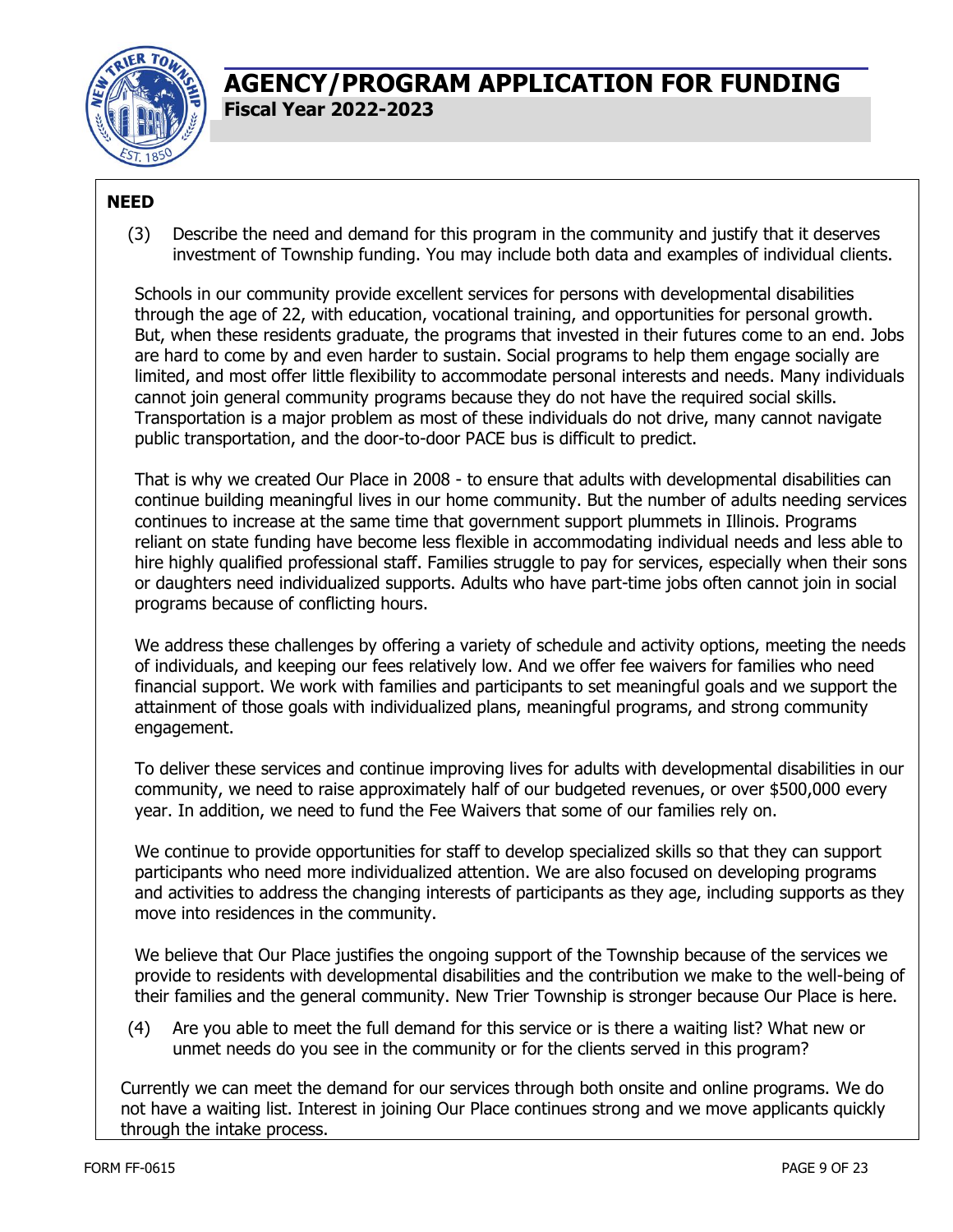

### **NEED**

(3) Describe the need and demand for this program in the community and justify that it deserves investment of Township funding. You may include both data and examples of individual clients.

Schools in our community provide excellent services for persons with developmental disabilities through the age of 22, with education, vocational training, and opportunities for personal growth. But, when these residents graduate, the programs that invested in their futures come to an end. Jobs are hard to come by and even harder to sustain. Social programs to help them engage socially are limited, and most offer little flexibility to accommodate personal interests and needs. Many individuals cannot join general community programs because they do not have the required social skills. Transportation is a major problem as most of these individuals do not drive, many cannot navigate public transportation, and the door-to-door PACE bus is difficult to predict.

That is why we created Our Place in 2008 - to ensure that adults with developmental disabilities can continue building meaningful lives in our home community. But the number of adults needing services continues to increase at the same time that government support plummets in Illinois. Programs reliant on state funding have become less flexible in accommodating individual needs and less able to hire highly qualified professional staff. Families struggle to pay for services, especially when their sons or daughters need individualized supports. Adults who have part-time jobs often cannot join in social programs because of conflicting hours.

We address these challenges by offering a variety of schedule and activity options, meeting the needs of individuals, and keeping our fees relatively low. And we offer fee waivers for families who need financial support. We work with families and participants to set meaningful goals and we support the attainment of those goals with individualized plans, meaningful programs, and strong community engagement.

To deliver these services and continue improving lives for adults with developmental disabilities in our community, we need to raise approximately half of our budgeted revenues, or over \$500,000 every year. In addition, we need to fund the Fee Waivers that some of our families rely on.

We continue to provide opportunities for staff to develop specialized skills so that they can support participants who need more individualized attention. We are also focused on developing programs and activities to address the changing interests of participants as they age, including supports as they move into residences in the community.

We believe that Our Place justifies the ongoing support of the Township because of the services we provide to residents with developmental disabilities and the contribution we make to the well-being of their families and the general community. New Trier Township is stronger because Our Place is here.

(4) Are you able to meet the full demand for this service or is there a waiting list? What new or unmet needs do you see in the community or for the clients served in this program?

Currently we can meet the demand for our services through both onsite and online programs. We do not have a waiting list. Interest in joining Our Place continues strong and we move applicants quickly through the intake process.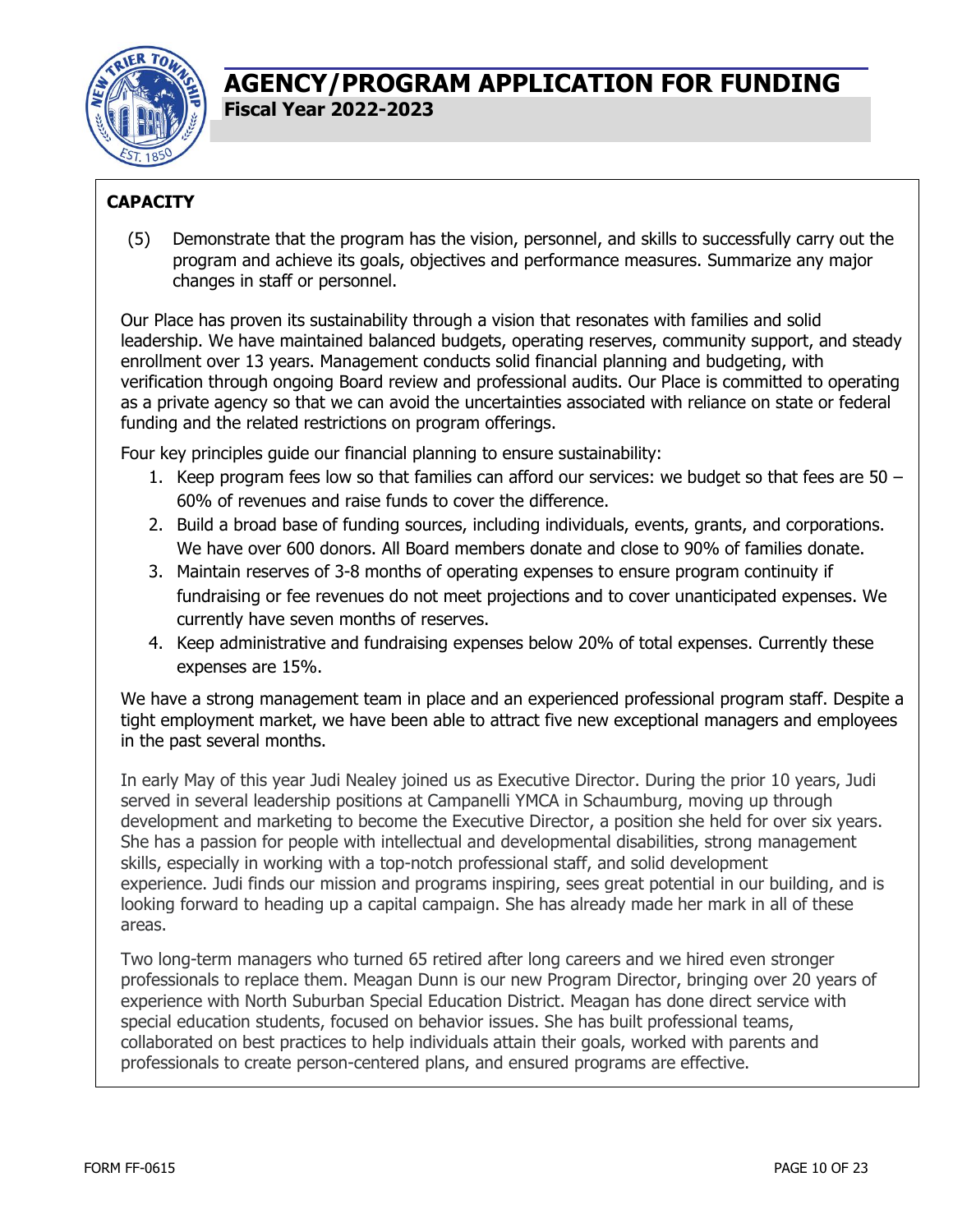

### **CAPACITY**

(5) Demonstrate that the program has the vision, personnel, and skills to successfully carry out the program and achieve its goals, objectives and performance measures. Summarize any major changes in staff or personnel.

Our Place has proven its sustainability through a vision that resonates with families and solid leadership. We have maintained balanced budgets, operating reserves, community support, and steady enrollment over 13 years. Management conducts solid financial planning and budgeting, with verification through ongoing Board review and professional audits. Our Place is committed to operating as a private agency so that we can avoid the uncertainties associated with reliance on state or federal funding and the related restrictions on program offerings.

Four key principles guide our financial planning to ensure sustainability:

- 1. Keep program fees low so that families can afford our services: we budget so that fees are 50 60% of revenues and raise funds to cover the difference.
- 2. Build a broad base of funding sources, including individuals, events, grants, and corporations. We have over 600 donors. All Board members donate and close to 90% of families donate.
- 3. Maintain reserves of 3-8 months of operating expenses to ensure program continuity if fundraising or fee revenues do not meet projections and to cover unanticipated expenses. We currently have seven months of reserves.
- 4. Keep administrative and fundraising expenses below 20% of total expenses. Currently these expenses are 15%.

We have a strong management team in place and an experienced professional program staff. Despite a tight employment market, we have been able to attract five new exceptional managers and employees in the past several months.

In early May of this year Judi Nealey joined us as Executive Director. During the prior 10 years, Judi served in several leadership positions at Campanelli YMCA in Schaumburg, moving up through development and marketing to become the Executive Director, a position she held for over six years. She has a passion for people with intellectual and developmental disabilities, strong management skills, especially in working with a top-notch professional staff, and solid development experience. Judi finds our mission and programs inspiring, sees great potential in our building, and is looking forward to heading up a capital campaign. She has already made her mark in all of these areas.

Two long-term managers who turned 65 retired after long careers and we hired even stronger professionals to replace them. Meagan Dunn is our new Program Director, bringing over 20 years of experience with North Suburban Special Education District. Meagan has done direct service with special education students, focused on behavior issues. She has built professional teams, collaborated on best practices to help individuals attain their goals, worked with parents and professionals to create person-centered plans, and ensured programs are effective.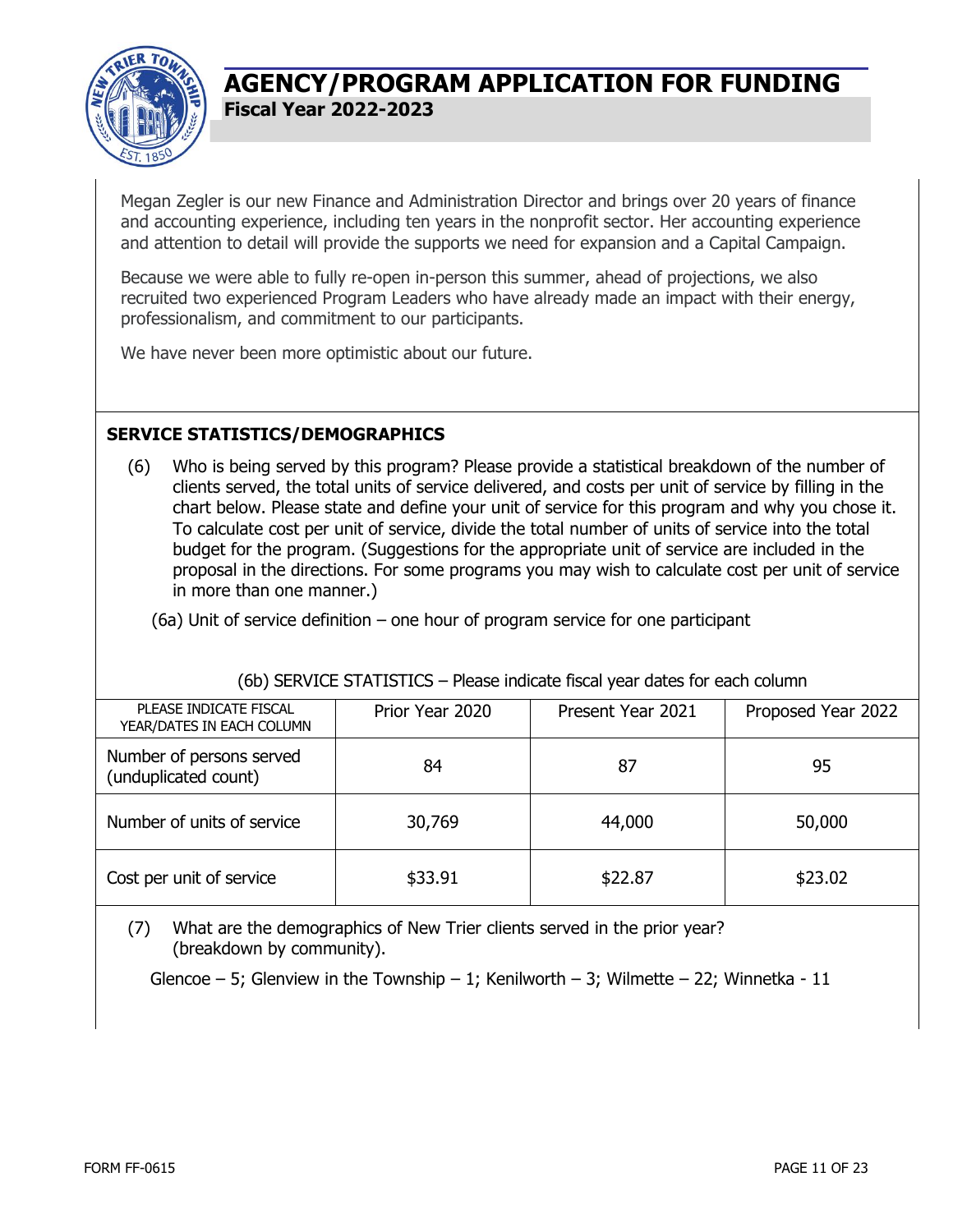

Megan Zegler is our new Finance and Administration Director and brings over 20 years of finance and accounting experience, including ten years in the nonprofit sector. Her accounting experience and attention to detail will provide the supports we need for expansion and a Capital Campaign.

Because we were able to fully re-open in-person this summer, ahead of projections, we also recruited two experienced Program Leaders who have already made an impact with their energy, professionalism, and commitment to our participants.

We have never been more optimistic about our future.

### **SERVICE STATISTICS/DEMOGRAPHICS**

(6) Who is being served by this program? Please provide a statistical breakdown of the number of clients served, the total units of service delivered, and costs per unit of service by filling in the chart below. Please state and define your unit of service for this program and why you chose it. To calculate cost per unit of service, divide the total number of units of service into the total budget for the program. (Suggestions for the appropriate unit of service are included in the proposal in the directions. For some programs you may wish to calculate cost per unit of service in more than one manner.)

(6a) Unit of service definition – one hour of program service for one participant

#### (6b) SERVICE STATISTICS – Please indicate fiscal year dates for each column

| PLEASE INDICATE FISCAL<br>YEAR/DATES IN EACH COLUMN | Prior Year 2020 | Present Year 2021 | Proposed Year 2022 |
|-----------------------------------------------------|-----------------|-------------------|--------------------|
| Number of persons served<br>(unduplicated count)    | 84              | 87                | 95                 |
| Number of units of service                          | 30,769          | 44,000            | 50,000             |
| Cost per unit of service                            | \$33.91         | \$22.87           | \$23.02            |

(7) What are the demographics of New Trier clients served in the prior year? (breakdown by community).

Glencoe – 5; Glenview in the Township – 1; Kenilworth – 3; Wilmette – 22; Winnetka - 11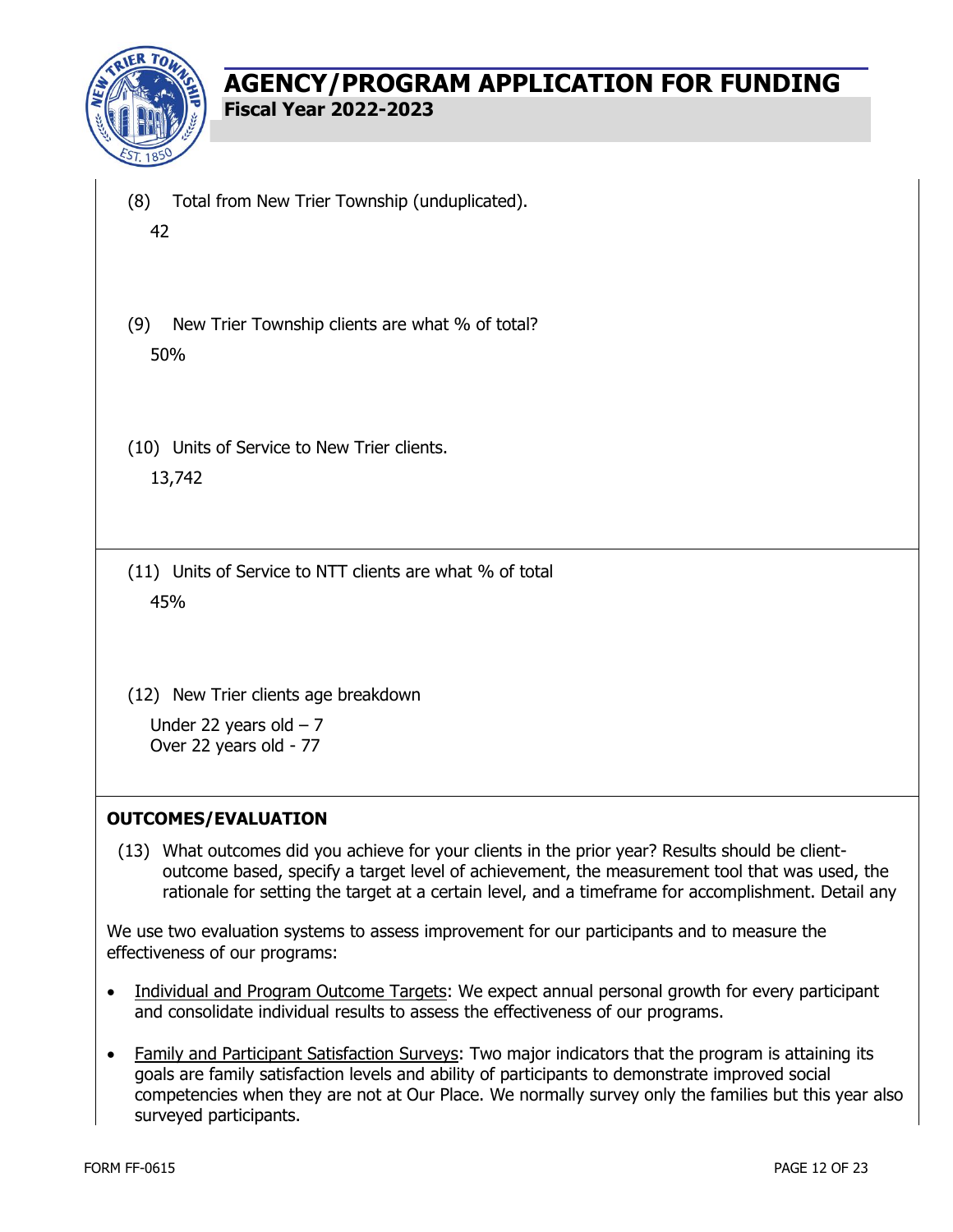

- (8) Total from New Trier Township (unduplicated). 42
- (9) New Trier Township clients are what % of total? 50%
- (10) Units of Service to New Trier clients. 13,742
- (11) Units of Service to NTT clients are what % of total 45%
- (12) New Trier clients age breakdown

Under 22 years old  $-7$ Over 22 years old - 77

#### **OUTCOMES/EVALUATION**

(13) What outcomes did you achieve for your clients in the prior year? Results should be clientoutcome based, specify a target level of achievement, the measurement tool that was used, the rationale for setting the target at a certain level, and a timeframe for accomplishment. Detail any

We use two evaluation systems to assess improvement for our participants and to measure the effectiveness of our programs:

- Individual and Program Outcome Targets: We expect annual personal growth for every participant and consolidate individual results to assess the effectiveness of our programs.
- Family and Participant Satisfaction Surveys: Two major indicators that the program is attaining its goals are family satisfaction levels and ability of participants to demonstrate improved social competencies when they are not at Our Place. We normally survey only the families but this year also surveyed participants.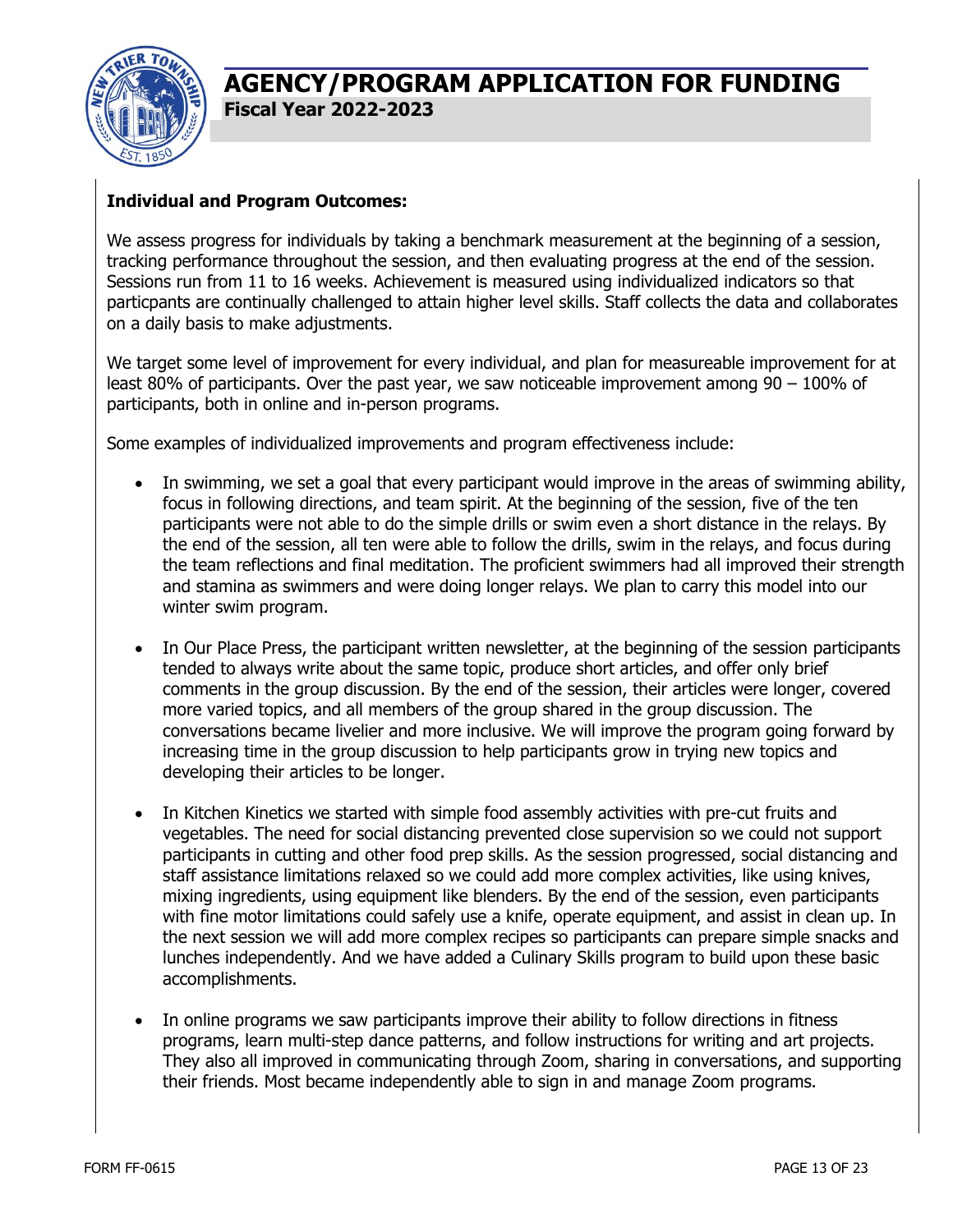

### **Individual and Program Outcomes:**

We assess progress for individuals by taking a benchmark measurement at the beginning of a session, tracking performance throughout the session, and then evaluating progress at the end of the session. Sessions run from 11 to 16 weeks. Achievement is measured using individualized indicators so that particpants are continually challenged to attain higher level skills. Staff collects the data and collaborates on a daily basis to make adjustments.

We target some level of improvement for every individual, and plan for measureable improvement for at least 80% of participants. Over the past year, we saw noticeable improvement among 90 – 100% of participants, both in online and in-person programs.

Some examples of individualized improvements and program effectiveness include:

- In swimming, we set a goal that every participant would improve in the areas of swimming ability, focus in following directions, and team spirit. At the beginning of the session, five of the ten participants were not able to do the simple drills or swim even a short distance in the relays. By the end of the session, all ten were able to follow the drills, swim in the relays, and focus during the team reflections and final meditation. The proficient swimmers had all improved their strength and stamina as swimmers and were doing longer relays. We plan to carry this model into our winter swim program.
- In Our Place Press, the participant written newsletter, at the beginning of the session participants tended to always write about the same topic, produce short articles, and offer only brief comments in the group discussion. By the end of the session, their articles were longer, covered more varied topics, and all members of the group shared in the group discussion. The conversations became livelier and more inclusive. We will improve the program going forward by increasing time in the group discussion to help participants grow in trying new topics and developing their articles to be longer.
- In Kitchen Kinetics we started with simple food assembly activities with pre-cut fruits and vegetables. The need for social distancing prevented close supervision so we could not support participants in cutting and other food prep skills. As the session progressed, social distancing and staff assistance limitations relaxed so we could add more complex activities, like using knives, mixing ingredients, using equipment like blenders. By the end of the session, even participants with fine motor limitations could safely use a knife, operate equipment, and assist in clean up. In the next session we will add more complex recipes so participants can prepare simple snacks and lunches independently. And we have added a Culinary Skills program to build upon these basic accomplishments.
- In online programs we saw participants improve their ability to follow directions in fitness programs, learn multi-step dance patterns, and follow instructions for writing and art projects. They also all improved in communicating through Zoom, sharing in conversations, and supporting their friends. Most became independently able to sign in and manage Zoom programs.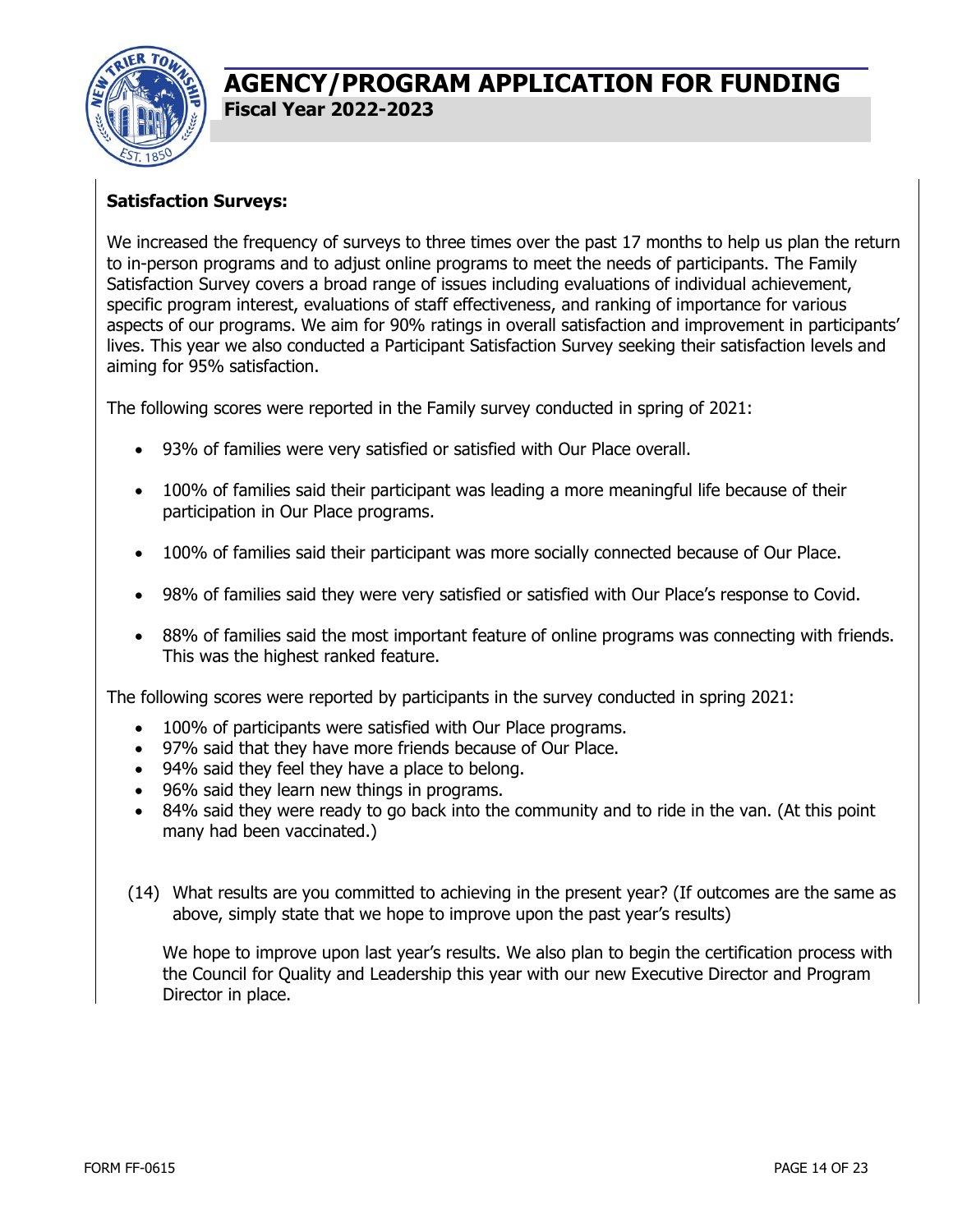

### **Satisfaction Surveys:**

We increased the frequency of surveys to three times over the past 17 months to help us plan the return to in-person programs and to adjust online programs to meet the needs of participants. The Family Satisfaction Survey covers a broad range of issues including evaluations of individual achievement, specific program interest, evaluations of staff effectiveness, and ranking of importance for various aspects of our programs. We aim for 90% ratings in overall satisfaction and improvement in participants' lives. This year we also conducted a Participant Satisfaction Survey seeking their satisfaction levels and aiming for 95% satisfaction.

The following scores were reported in the Family survey conducted in spring of 2021:

- 93% of families were very satisfied or satisfied with Our Place overall.
- 100% of families said their participant was leading a more meaningful life because of their participation in Our Place programs.
- 100% of families said their participant was more socially connected because of Our Place.
- 98% of families said they were very satisfied or satisfied with Our Place's response to Covid.
- 88% of families said the most important feature of online programs was connecting with friends. This was the highest ranked feature.

The following scores were reported by participants in the survey conducted in spring 2021:

- 100% of participants were satisfied with Our Place programs.
- 97% said that they have more friends because of Our Place.
- 94% said they feel they have a place to belong.
- 96% said they learn new things in programs.
- 84% said they were ready to go back into the community and to ride in the van. (At this point many had been vaccinated.)
- (14) What results are you committed to achieving in the present year? (If outcomes are the same as above, simply state that we hope to improve upon the past year's results)

We hope to improve upon last year's results. We also plan to begin the certification process with the Council for Quality and Leadership this year with our new Executive Director and Program Director in place.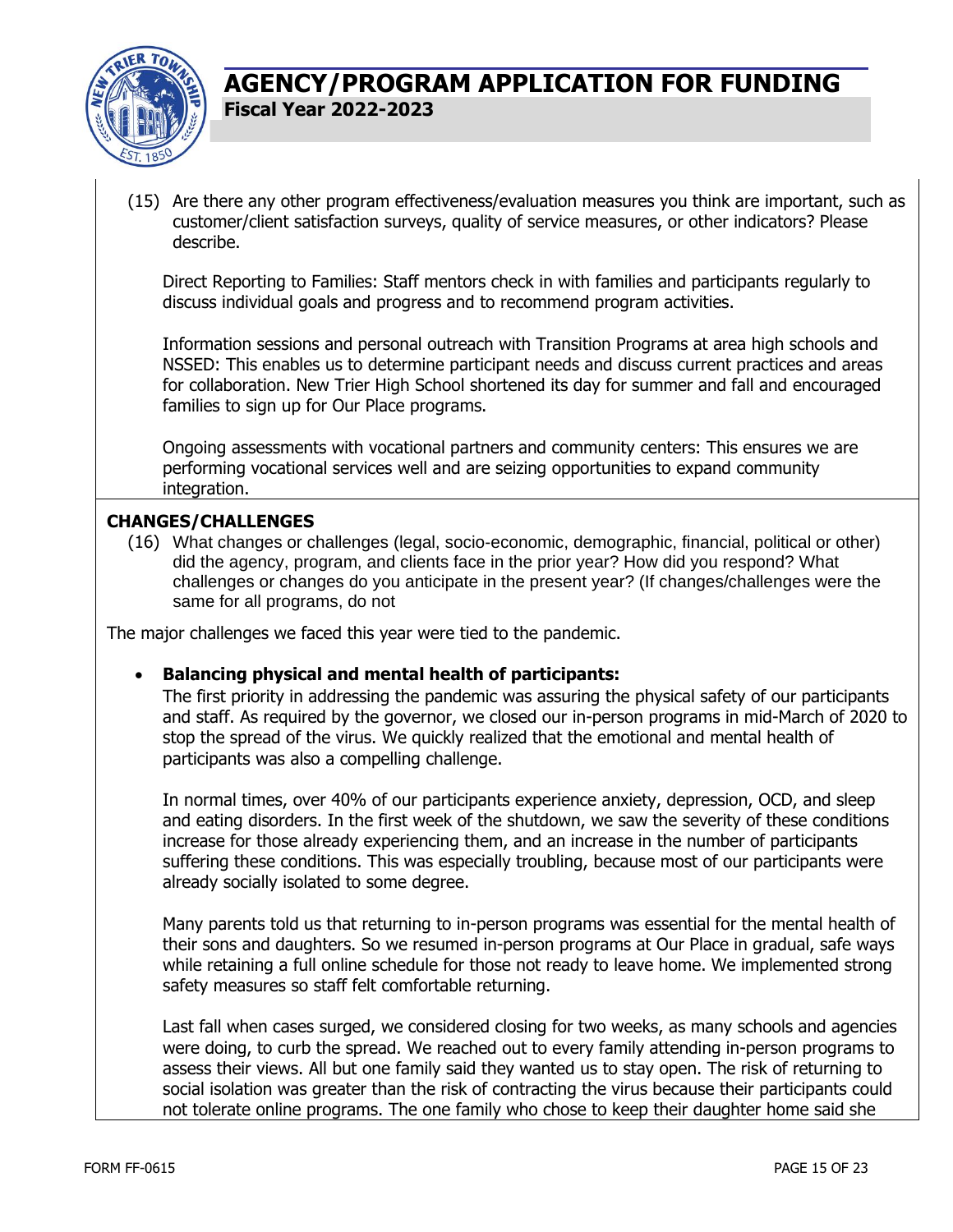

(15) Are there any other program effectiveness/evaluation measures you think are important, such as customer/client satisfaction surveys, quality of service measures, or other indicators? Please describe.

Direct Reporting to Families: Staff mentors check in with families and participants regularly to discuss individual goals and progress and to recommend program activities.

Information sessions and personal outreach with Transition Programs at area high schools and NSSED: This enables us to determine participant needs and discuss current practices and areas for collaboration. New Trier High School shortened its day for summer and fall and encouraged families to sign up for Our Place programs.

Ongoing assessments with vocational partners and community centers: This ensures we are performing vocational services well and are seizing opportunities to expand community integration.

#### **CHANGES/CHALLENGES**

(16) What changes or challenges (legal, socio-economic, demographic, financial, political or other) did the agency, program, and clients face in the prior year? How did you respond? What challenges or changes do you anticipate in the present year? (If changes/challenges were the same for all programs, do not

The major challenges we faced this year were tied to the pandemic.

#### • **Balancing physical and mental health of participants:**

The first priority in addressing the pandemic was assuring the physical safety of our participants and staff. As required by the governor, we closed our in-person programs in mid-March of 2020 to stop the spread of the virus. We quickly realized that the emotional and mental health of participants was also a compelling challenge.

In normal times, over 40% of our participants experience anxiety, depression, OCD, and sleep and eating disorders. In the first week of the shutdown, we saw the severity of these conditions increase for those already experiencing them, and an increase in the number of participants suffering these conditions. This was especially troubling, because most of our participants were already socially isolated to some degree.

Many parents told us that returning to in-person programs was essential for the mental health of their sons and daughters. So we resumed in-person programs at Our Place in gradual, safe ways while retaining a full online schedule for those not ready to leave home. We implemented strong safety measures so staff felt comfortable returning.

Last fall when cases surged, we considered closing for two weeks, as many schools and agencies were doing, to curb the spread. We reached out to every family attending in-person programs to assess their views. All but one family said they wanted us to stay open. The risk of returning to social isolation was greater than the risk of contracting the virus because their participants could not tolerate online programs. The one family who chose to keep their daughter home said she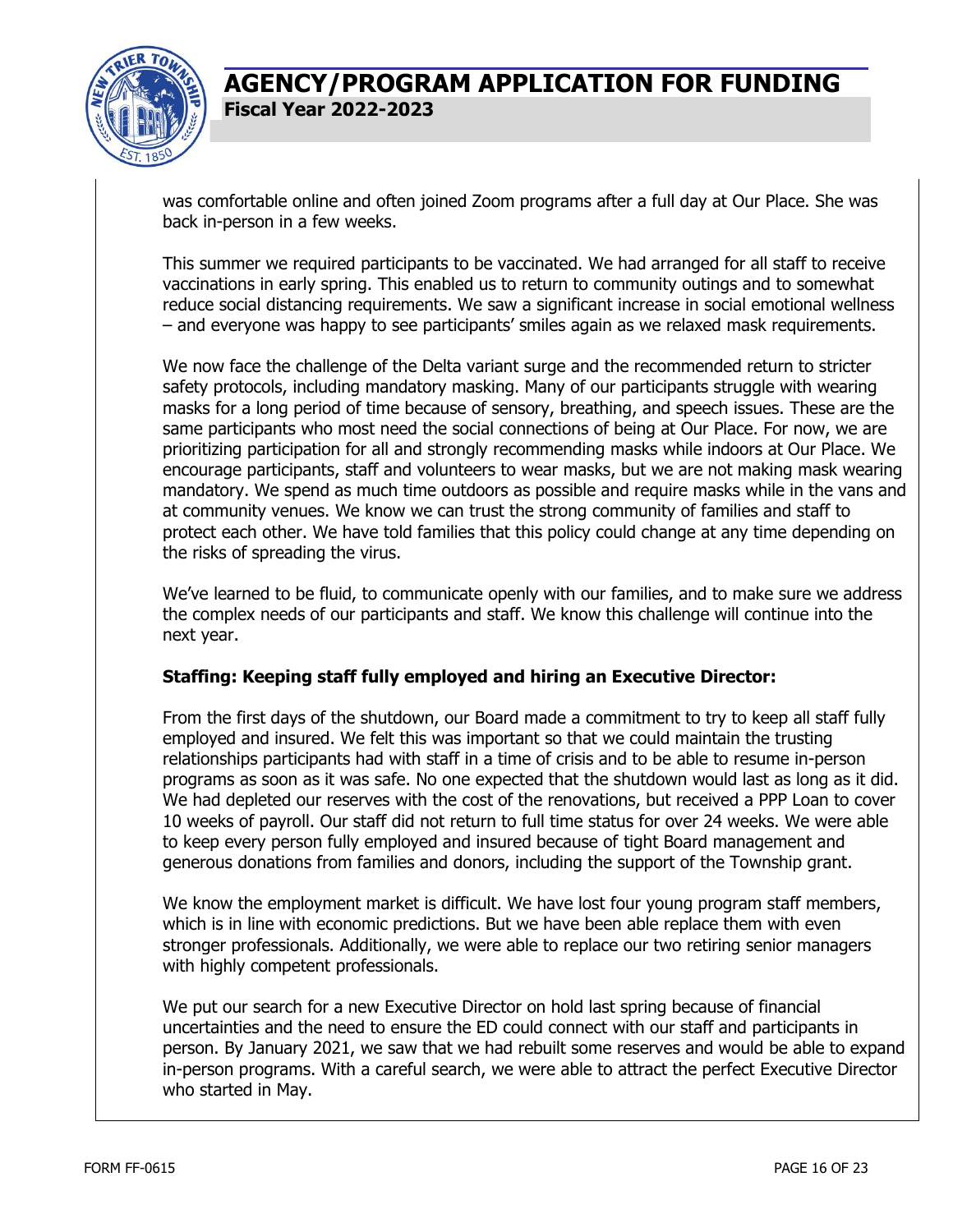

was comfortable online and often joined Zoom programs after a full day at Our Place. She was back in-person in a few weeks.

This summer we required participants to be vaccinated. We had arranged for all staff to receive vaccinations in early spring. This enabled us to return to community outings and to somewhat reduce social distancing requirements. We saw a significant increase in social emotional wellness – and everyone was happy to see participants' smiles again as we relaxed mask requirements.

We now face the challenge of the Delta variant surge and the recommended return to stricter safety protocols, including mandatory masking. Many of our participants struggle with wearing masks for a long period of time because of sensory, breathing, and speech issues. These are the same participants who most need the social connections of being at Our Place. For now, we are prioritizing participation for all and strongly recommending masks while indoors at Our Place. We encourage participants, staff and volunteers to wear masks, but we are not making mask wearing mandatory. We spend as much time outdoors as possible and require masks while in the vans and at community venues. We know we can trust the strong community of families and staff to protect each other. We have told families that this policy could change at any time depending on the risks of spreading the virus.

We've learned to be fluid, to communicate openly with our families, and to make sure we address the complex needs of our participants and staff. We know this challenge will continue into the next year.

#### **Staffing: Keeping staff fully employed and hiring an Executive Director:**

From the first days of the shutdown, our Board made a commitment to try to keep all staff fully employed and insured. We felt this was important so that we could maintain the trusting relationships participants had with staff in a time of crisis and to be able to resume in-person programs as soon as it was safe. No one expected that the shutdown would last as long as it did. We had depleted our reserves with the cost of the renovations, but received a PPP Loan to cover 10 weeks of payroll. Our staff did not return to full time status for over 24 weeks. We were able to keep every person fully employed and insured because of tight Board management and generous donations from families and donors, including the support of the Township grant.

We know the employment market is difficult. We have lost four young program staff members, which is in line with economic predictions. But we have been able replace them with even stronger professionals. Additionally, we were able to replace our two retiring senior managers with highly competent professionals.

We put our search for a new Executive Director on hold last spring because of financial uncertainties and the need to ensure the ED could connect with our staff and participants in person. By January 2021, we saw that we had rebuilt some reserves and would be able to expand in-person programs. With a careful search, we were able to attract the perfect Executive Director who started in May.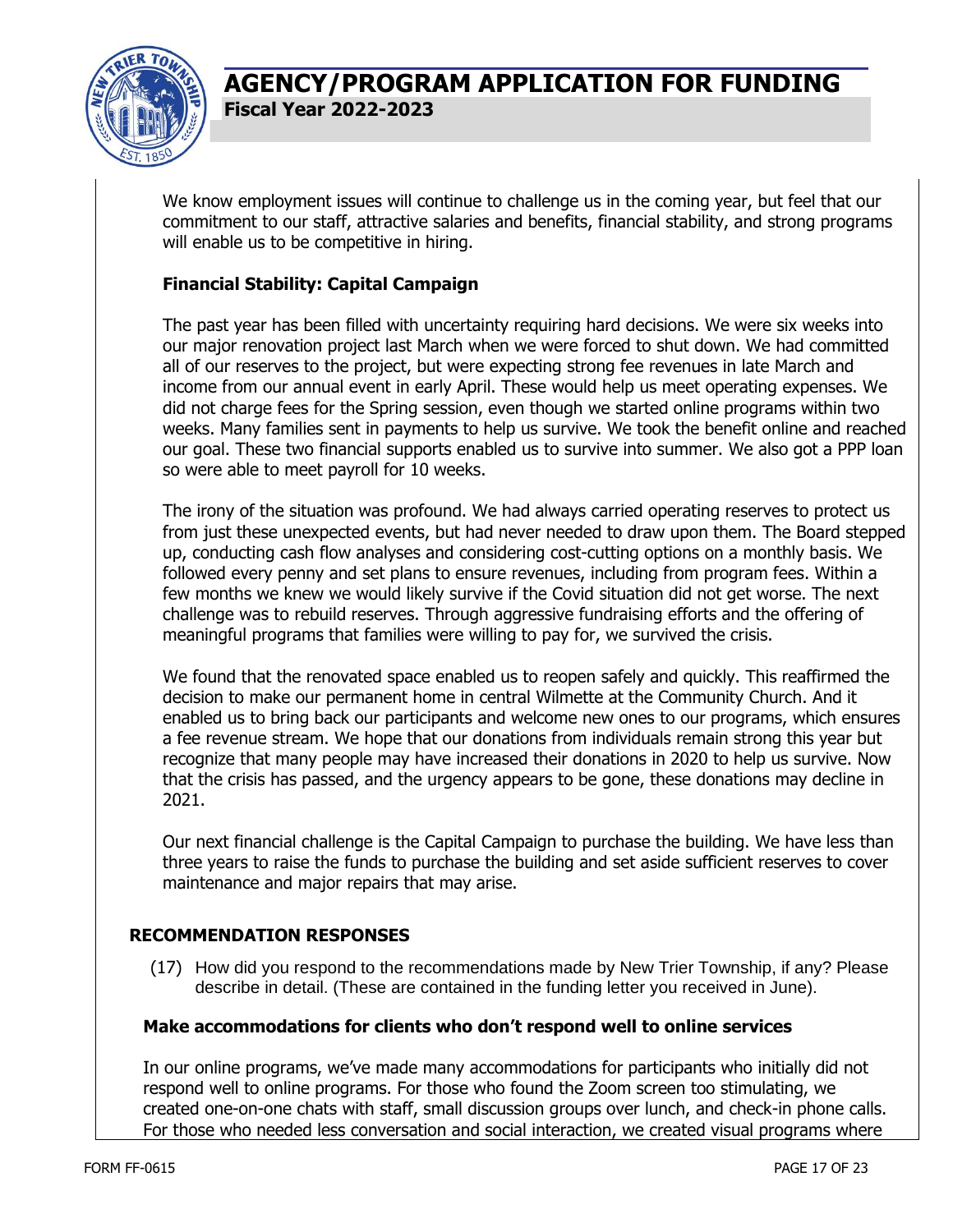

We know employment issues will continue to challenge us in the coming year, but feel that our commitment to our staff, attractive salaries and benefits, financial stability, and strong programs will enable us to be competitive in hiring.

#### **Financial Stability: Capital Campaign**

The past year has been filled with uncertainty requiring hard decisions. We were six weeks into our major renovation project last March when we were forced to shut down. We had committed all of our reserves to the project, but were expecting strong fee revenues in late March and income from our annual event in early April. These would help us meet operating expenses. We did not charge fees for the Spring session, even though we started online programs within two weeks. Many families sent in payments to help us survive. We took the benefit online and reached our goal. These two financial supports enabled us to survive into summer. We also got a PPP loan so were able to meet payroll for 10 weeks.

The irony of the situation was profound. We had always carried operating reserves to protect us from just these unexpected events, but had never needed to draw upon them. The Board stepped up, conducting cash flow analyses and considering cost-cutting options on a monthly basis. We followed every penny and set plans to ensure revenues, including from program fees. Within a few months we knew we would likely survive if the Covid situation did not get worse. The next challenge was to rebuild reserves. Through aggressive fundraising efforts and the offering of meaningful programs that families were willing to pay for, we survived the crisis.

We found that the renovated space enabled us to reopen safely and quickly. This reaffirmed the decision to make our permanent home in central Wilmette at the Community Church. And it enabled us to bring back our participants and welcome new ones to our programs, which ensures a fee revenue stream. We hope that our donations from individuals remain strong this year but recognize that many people may have increased their donations in 2020 to help us survive. Now that the crisis has passed, and the urgency appears to be gone, these donations may decline in 2021.

Our next financial challenge is the Capital Campaign to purchase the building. We have less than three years to raise the funds to purchase the building and set aside sufficient reserves to cover maintenance and major repairs that may arise.

#### **RECOMMENDATION RESPONSES**

(17) How did you respond to the recommendations made by New Trier Township, if any? Please describe in detail. (These are contained in the funding letter you received in June).

#### **Make accommodations for clients who don't respond well to online services**

In our online programs, we've made many accommodations for participants who initially did not respond well to online programs. For those who found the Zoom screen too stimulating, we created one-on-one chats with staff, small discussion groups over lunch, and check-in phone calls. For those who needed less conversation and social interaction, we created visual programs where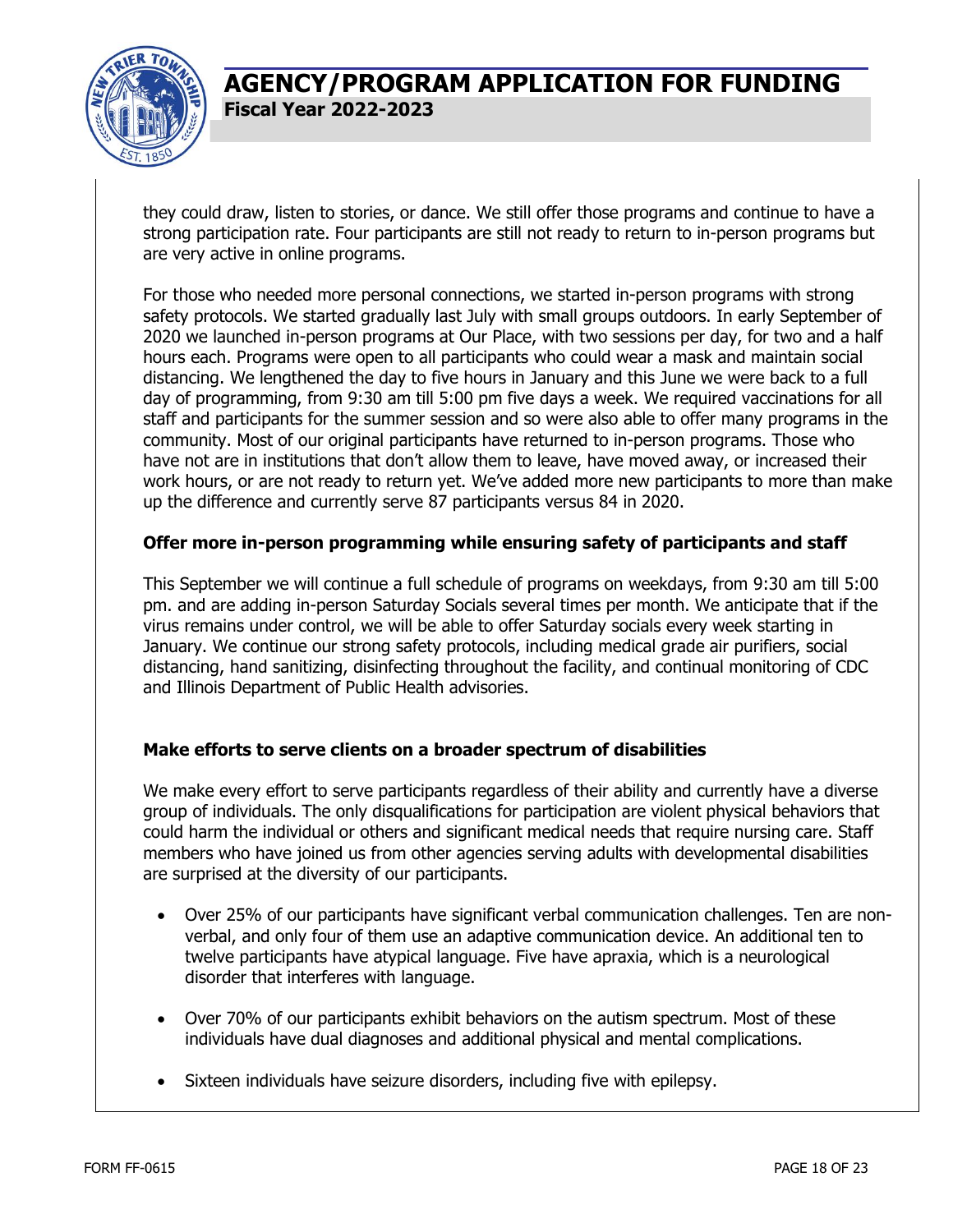

they could draw, listen to stories, or dance. We still offer those programs and continue to have a strong participation rate. Four participants are still not ready to return to in-person programs but are very active in online programs.

For those who needed more personal connections, we started in-person programs with strong safety protocols. We started gradually last July with small groups outdoors. In early September of 2020 we launched in-person programs at Our Place, with two sessions per day, for two and a half hours each. Programs were open to all participants who could wear a mask and maintain social distancing. We lengthened the day to five hours in January and this June we were back to a full day of programming, from 9:30 am till 5:00 pm five days a week. We required vaccinations for all staff and participants for the summer session and so were also able to offer many programs in the community. Most of our original participants have returned to in-person programs. Those who have not are in institutions that don't allow them to leave, have moved away, or increased their work hours, or are not ready to return yet. We've added more new participants to more than make up the difference and currently serve 87 participants versus 84 in 2020.

#### **Offer more in-person programming while ensuring safety of participants and staff**

This September we will continue a full schedule of programs on weekdays, from 9:30 am till 5:00 pm. and are adding in-person Saturday Socials several times per month. We anticipate that if the virus remains under control, we will be able to offer Saturday socials every week starting in January. We continue our strong safety protocols, including medical grade air purifiers, social distancing, hand sanitizing, disinfecting throughout the facility, and continual monitoring of CDC and Illinois Department of Public Health advisories.

#### **Make efforts to serve clients on a broader spectrum of disabilities**

We make every effort to serve participants regardless of their ability and currently have a diverse group of individuals. The only disqualifications for participation are violent physical behaviors that could harm the individual or others and significant medical needs that require nursing care. Staff members who have joined us from other agencies serving adults with developmental disabilities are surprised at the diversity of our participants.

- Over 25% of our participants have significant verbal communication challenges. Ten are nonverbal, and only four of them use an adaptive communication device. An additional ten to twelve participants have atypical language. Five have apraxia, which is a neurological disorder that interferes with language.
- Over 70% of our participants exhibit behaviors on the autism spectrum. Most of these individuals have dual diagnoses and additional physical and mental complications.
- Sixteen individuals have seizure disorders, including five with epilepsy.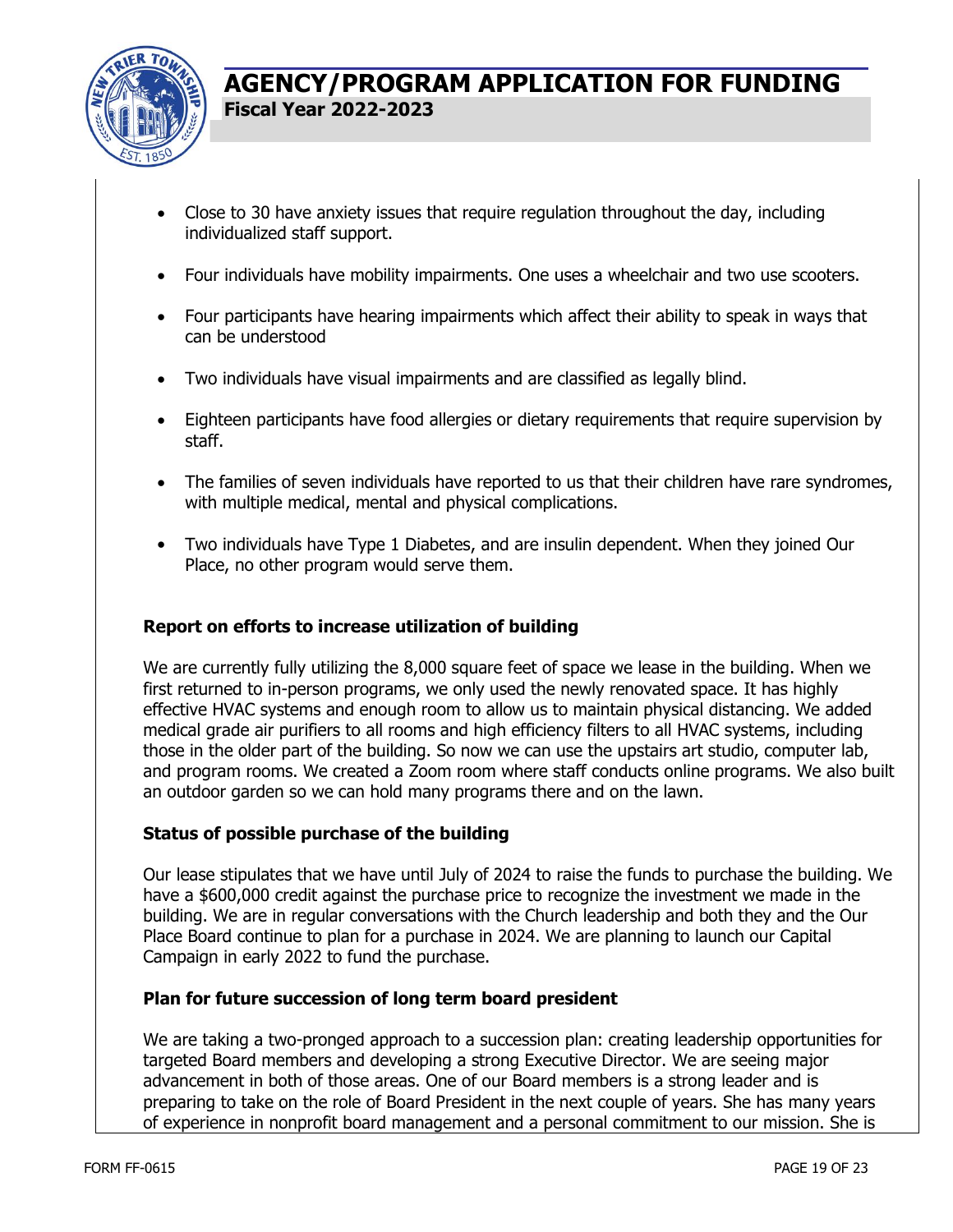

- Close to 30 have anxiety issues that require regulation throughout the day, including individualized staff support.
- Four individuals have mobility impairments. One uses a wheelchair and two use scooters.
- Four participants have hearing impairments which affect their ability to speak in ways that can be understood
- Two individuals have visual impairments and are classified as legally blind.
- Eighteen participants have food allergies or dietary requirements that require supervision by staff.
- The families of seven individuals have reported to us that their children have rare syndromes, with multiple medical, mental and physical complications.
- Two individuals have Type 1 Diabetes, and are insulin dependent. When they joined Our Place, no other program would serve them.

#### **Report on efforts to increase utilization of building**

We are currently fully utilizing the 8,000 square feet of space we lease in the building. When we first returned to in-person programs, we only used the newly renovated space. It has highly effective HVAC systems and enough room to allow us to maintain physical distancing. We added medical grade air purifiers to all rooms and high efficiency filters to all HVAC systems, including those in the older part of the building. So now we can use the upstairs art studio, computer lab, and program rooms. We created a Zoom room where staff conducts online programs. We also built an outdoor garden so we can hold many programs there and on the lawn.

#### **Status of possible purchase of the building**

Our lease stipulates that we have until July of 2024 to raise the funds to purchase the building. We have a \$600,000 credit against the purchase price to recognize the investment we made in the building. We are in regular conversations with the Church leadership and both they and the Our Place Board continue to plan for a purchase in 2024. We are planning to launch our Capital Campaign in early 2022 to fund the purchase.

#### **Plan for future succession of long term board president**

We are taking a two-pronged approach to a succession plan: creating leadership opportunities for targeted Board members and developing a strong Executive Director. We are seeing major advancement in both of those areas. One of our Board members is a strong leader and is preparing to take on the role of Board President in the next couple of years. She has many years of experience in nonprofit board management and a personal commitment to our mission. She is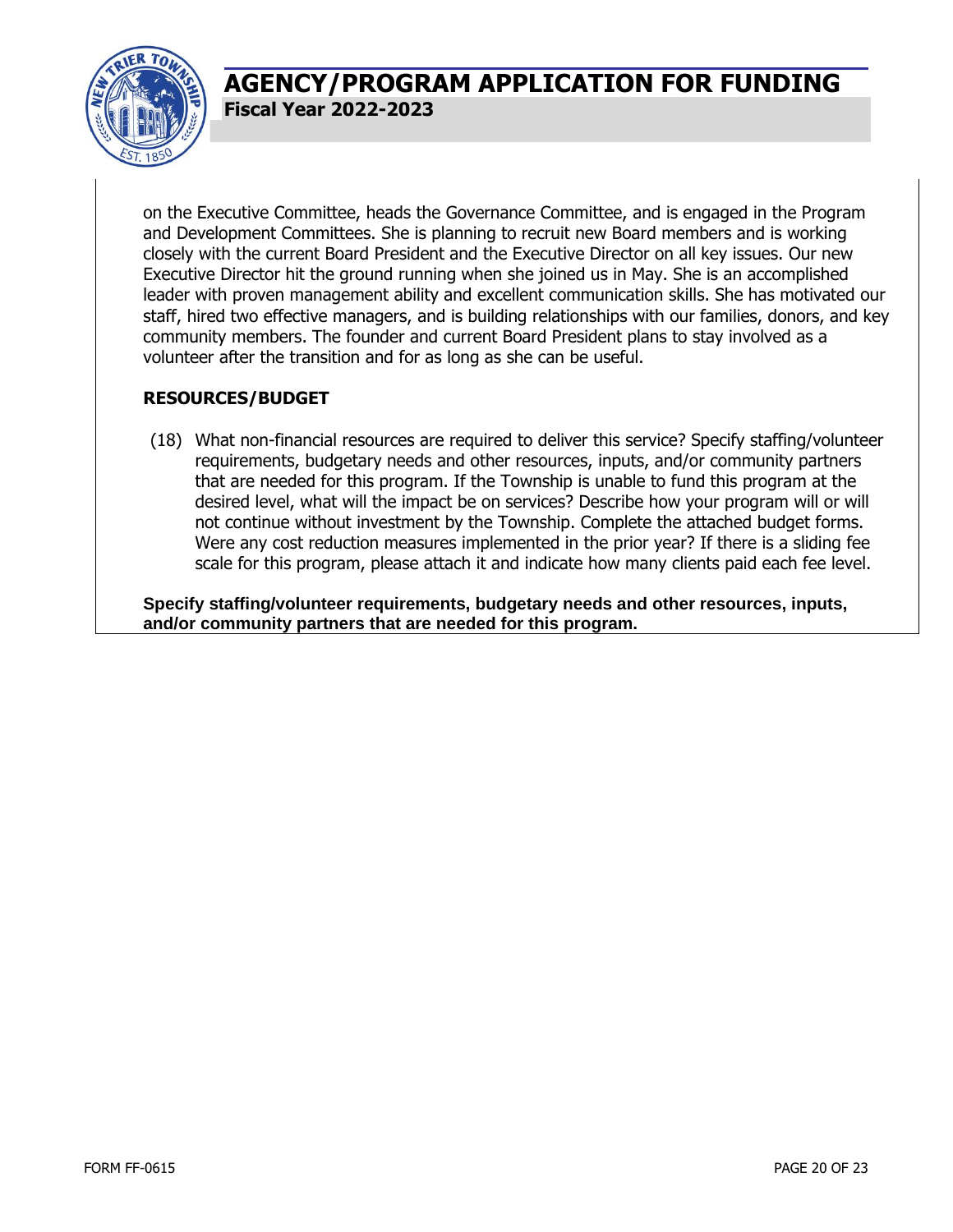

on the Executive Committee, heads the Governance Committee, and is engaged in the Program and Development Committees. She is planning to recruit new Board members and is working closely with the current Board President and the Executive Director on all key issues. Our new Executive Director hit the ground running when she joined us in May. She is an accomplished leader with proven management ability and excellent communication skills. She has motivated our staff, hired two effective managers, and is building relationships with our families, donors, and key community members. The founder and current Board President plans to stay involved as a volunteer after the transition and for as long as she can be useful.

### **RESOURCES/BUDGET**

(18) What non-financial resources are required to deliver this service? Specify staffing/volunteer requirements, budgetary needs and other resources, inputs, and/or community partners that are needed for this program. If the Township is unable to fund this program at the desired level, what will the impact be on services? Describe how your program will or will not continue without investment by the Township. Complete the attached budget forms. Were any cost reduction measures implemented in the prior year? If there is a sliding fee scale for this program, please attach it and indicate how many clients paid each fee level.

**Specify staffing/volunteer requirements, budgetary needs and other resources, inputs, and/or community partners that are needed for this program.**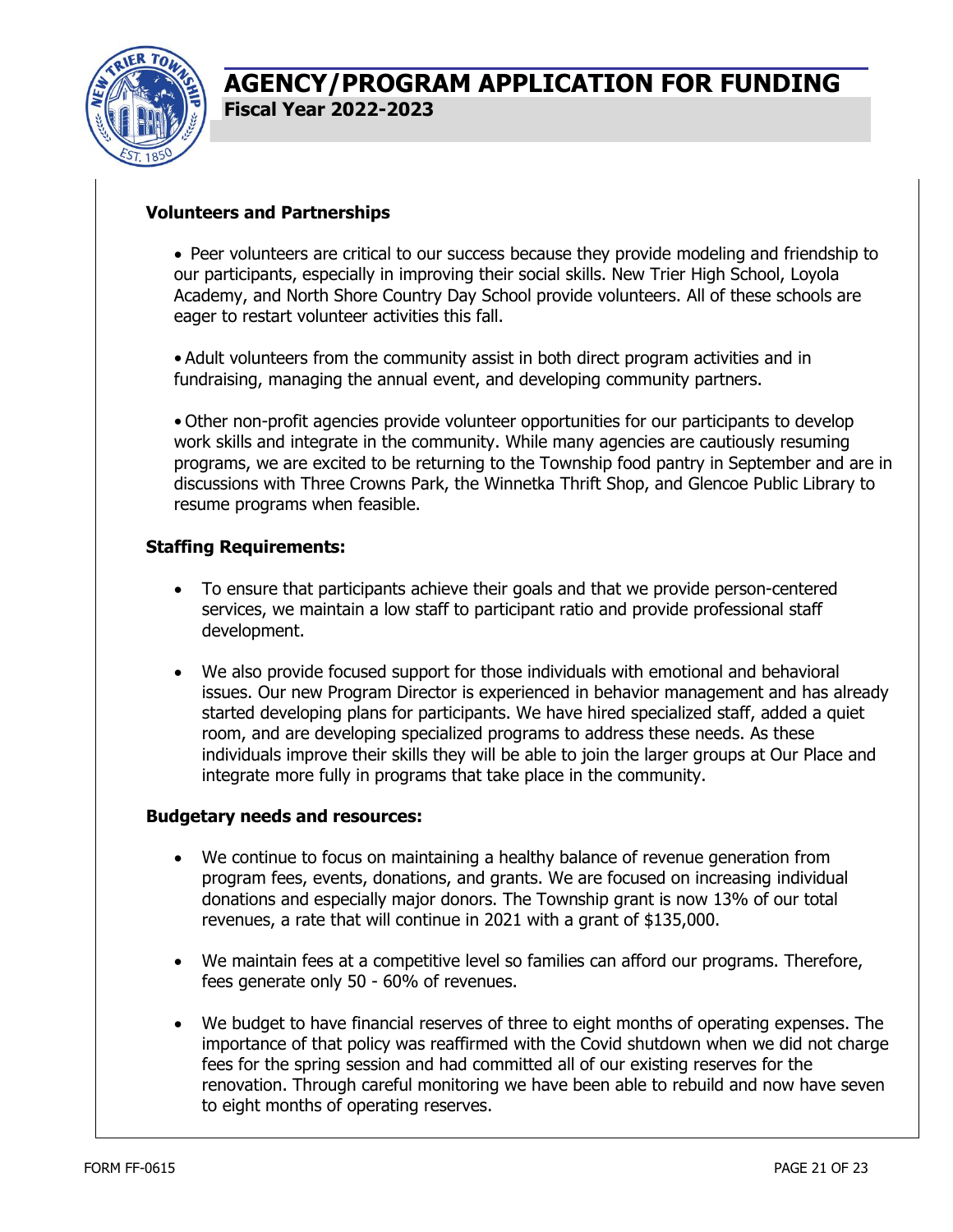

#### **Volunteers and Partnerships**

• Peer volunteers are critical to our success because they provide modeling and friendship to our participants, especially in improving their social skills. New Trier High School, Loyola Academy, and North Shore Country Day School provide volunteers. All of these schools are eager to restart volunteer activities this fall.

• Adult volunteers from the community assist in both direct program activities and in fundraising, managing the annual event, and developing community partners.

• Other non-profit agencies provide volunteer opportunities for our participants to develop work skills and integrate in the community. While many agencies are cautiously resuming programs, we are excited to be returning to the Township food pantry in September and are in discussions with Three Crowns Park, the Winnetka Thrift Shop, and Glencoe Public Library to resume programs when feasible.

#### **Staffing Requirements:**

- To ensure that participants achieve their goals and that we provide person-centered services, we maintain a low staff to participant ratio and provide professional staff development.
- We also provide focused support for those individuals with emotional and behavioral issues. Our new Program Director is experienced in behavior management and has already started developing plans for participants. We have hired specialized staff, added a quiet room, and are developing specialized programs to address these needs. As these individuals improve their skills they will be able to join the larger groups at Our Place and integrate more fully in programs that take place in the community.

#### **Budgetary needs and resources:**

- We continue to focus on maintaining a healthy balance of revenue generation from program fees, events, donations, and grants. We are focused on increasing individual donations and especially major donors. The Township grant is now 13% of our total revenues, a rate that will continue in 2021 with a grant of \$135,000.
- We maintain fees at a competitive level so families can afford our programs. Therefore, fees generate only 50 - 60% of revenues.
- We budget to have financial reserves of three to eight months of operating expenses. The importance of that policy was reaffirmed with the Covid shutdown when we did not charge fees for the spring session and had committed all of our existing reserves for the renovation. Through careful monitoring we have been able to rebuild and now have seven to eight months of operating reserves.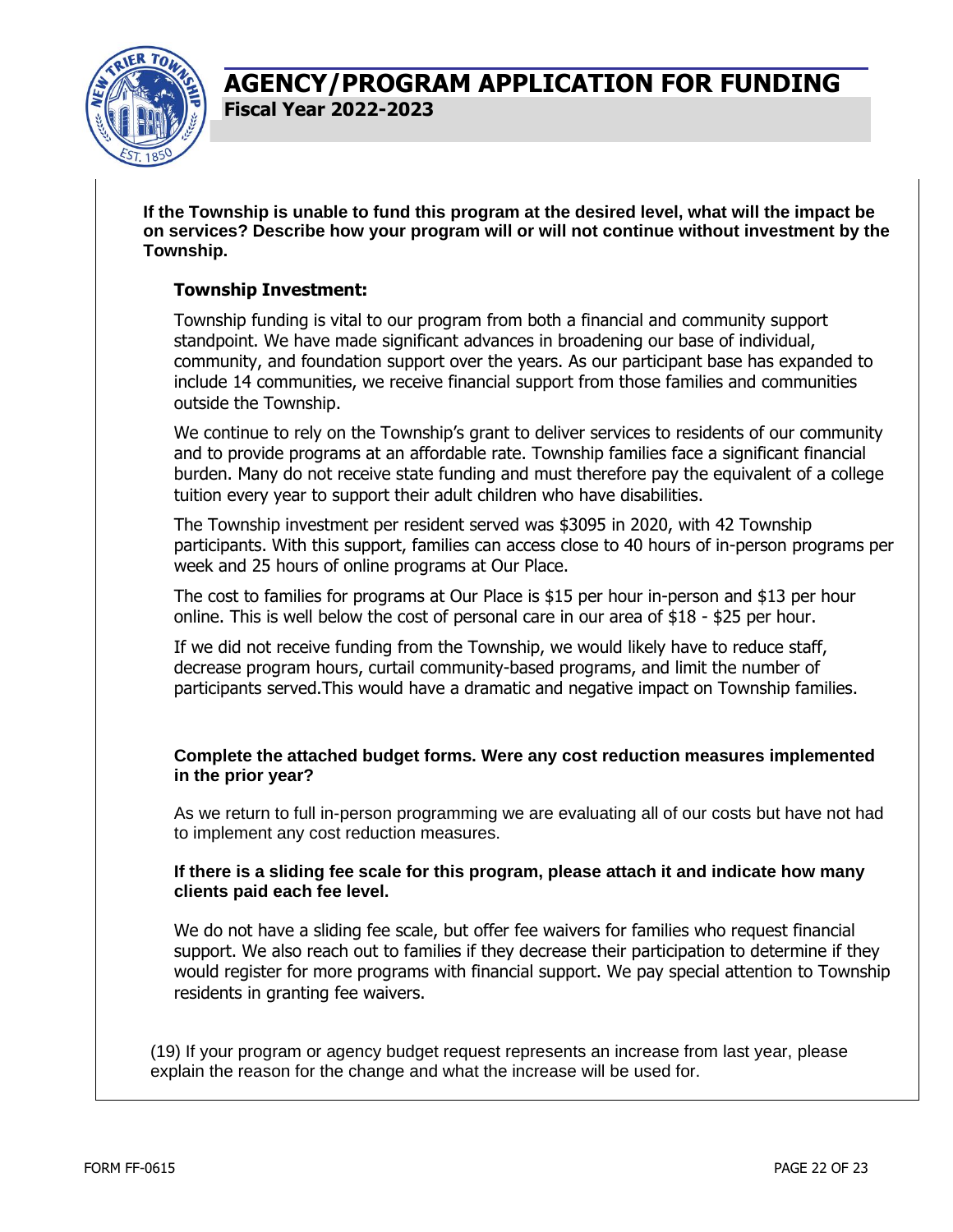

**If the Township is unable to fund this program at the desired level, what will the impact be on services? Describe how your program will or will not continue without investment by the Township.** 

#### **Township Investment:**

Township funding is vital to our program from both a financial and community support standpoint. We have made significant advances in broadening our base of individual, community, and foundation support over the years. As our participant base has expanded to include 14 communities, we receive financial support from those families and communities outside the Township.

We continue to rely on the Township's grant to deliver services to residents of our community and to provide programs at an affordable rate. Township families face a significant financial burden. Many do not receive state funding and must therefore pay the equivalent of a college tuition every year to support their adult children who have disabilities.

The Township investment per resident served was \$3095 in 2020, with 42 Township participants. With this support, families can access close to 40 hours of in-person programs per week and 25 hours of online programs at Our Place.

The cost to families for programs at Our Place is \$15 per hour in-person and \$13 per hour online. This is well below the cost of personal care in our area of \$18 - \$25 per hour.

If we did not receive funding from the Township, we would likely have to reduce staff, decrease program hours, curtail community-based programs, and limit the number of participants served.This would have a dramatic and negative impact on Township families.

#### **Complete the attached budget forms. Were any cost reduction measures implemented in the prior year?**

As we return to full in-person programming we are evaluating all of our costs but have not had to implement any cost reduction measures.

#### **If there is a sliding fee scale for this program, please attach it and indicate how many clients paid each fee level.**

We do not have a sliding fee scale, but offer fee waivers for families who request financial support. We also reach out to families if they decrease their participation to determine if they would register for more programs with financial support. We pay special attention to Township residents in granting fee waivers.

(19) If your program or agency budget request represents an increase from last year, please explain the reason for the change and what the increase will be used for.